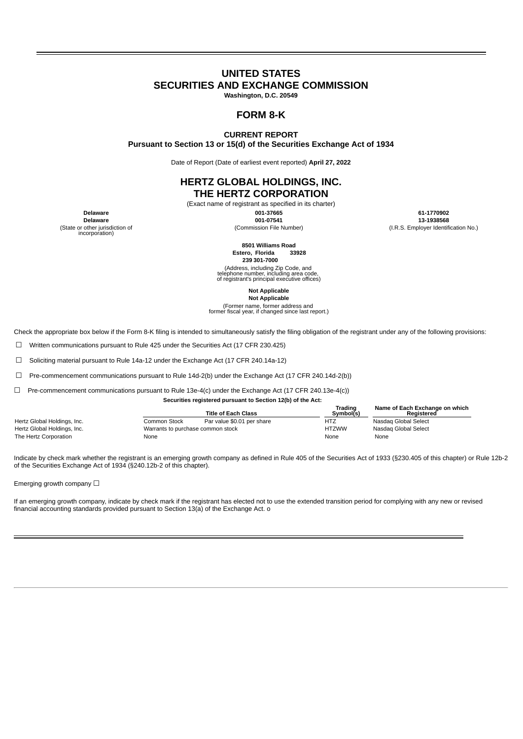# **UNITED STATES SECURITIES AND EXCHANGE COMMISSION**

**Washington, D.C. 20549**

# **FORM 8-K**

### **CURRENT REPORT**

**Pursuant to Section 13 or 15(d) of the Securities Exchange Act of 1934**

Date of Report (Date of earliest event reported) **April 27, 2022**

# **HERTZ GLOBAL HOLDINGS, INC. THE HERTZ CORPORATION**

# (Exact name of registrant as specified in its charter)

**Delaware 001-37665 61-1770902**

**Delaware 001-07541 13-1938568**

(Commission File Number) (I.R.S. Employer Identification No.)

(State or other jurisdiction of incorporation)

> **8501 Williams Road Estero, Florida 33928**

**239 301-7000**

(Address, including Zip Code, and telephone number, including area code, of registrant's principal executive offices)

**Not Applicable**

**Not Applicable** (Former name, former address and former fiscal year, if changed since last report.)

Check the appropriate box below if the Form 8-K filing is intended to simultaneously satisfy the filing obligation of the registrant under any of the following provisions:

☐ Written communications pursuant to Rule 425 under the Securities Act (17 CFR 230.425)

☐ Soliciting material pursuant to Rule 14a-12 under the Exchange Act (17 CFR 240.14a-12)

 $\Box$  Pre-commencement communications pursuant to Rule 14d-2(b) under the Exchange Act (17 CFR 240.14d-2(b))

☐ Pre-commencement communications pursuant to Rule 13e-4(c) under the Exchange Act (17 CFR 240.13e-4(c))

**Securities registered pursuant to Section 12(b) of the Act:**

|                             |                                   | <b>Title of Each Class</b> | Trading<br>Symbol(s) | Name of Each Exchange on which<br>Reaistered |
|-----------------------------|-----------------------------------|----------------------------|----------------------|----------------------------------------------|
| Hertz Global Holdings, Inc. | Common Stock                      | Par value \$0.01 per share | HTZ                  | Nasdag Global Select                         |
| Hertz Global Holdings, Inc. | Warrants to purchase common stock |                            | <b>HTZWW</b>         | Nasdag Global Select                         |
| The Hertz Corporation       | None                              |                            | None                 | None                                         |

Indicate by check mark whether the registrant is an emerging growth company as defined in Rule 405 of the Securities Act of 1933 (§230.405 of this chapter) or Rule 12b-2 of the Securities Exchange Act of 1934 (§240.12b-2 of this chapter).

Emerging growth company  $\Box$ 

If an emerging growth company, indicate by check mark if the registrant has elected not to use the extended transition period for complying with any new or revised financial accounting standards provided pursuant to Section 13(a) of the Exchange Act. o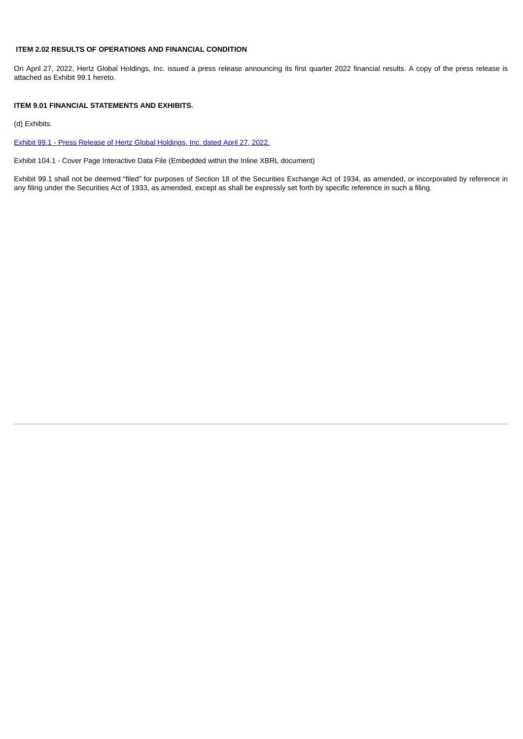### **ITEM 2.02 RESULTS OF OPERATIONS AND FINANCIAL CONDITION**

On April 27, 2022, Hertz Global Holdings, Inc. issued a press release announcing its first quarter 2022 financial results. A copy of the press release is attached as Exhibit 99.1 hereto.

### **ITEM 9.01 FINANCIAL STATEMENTS AND EXHIBITS.**

(d) Exhibits.

Exhibit 99.1 - Press Release of Hertz Global [Holdings,](#page-3-0) Inc. dated April 27, 2022.

Exhibit 104.1 - Cover Page Interactive Data File (Embedded within the Inline XBRL document)

Exhibit 99.1 shall not be deemed "filed" for purposes of Section 18 of the Securities Exchange Act of 1934, as amended, or incorporated by reference in any filing under the Securities Act of 1933, as amended, except as shall be expressly set forth by specific reference in such a filing.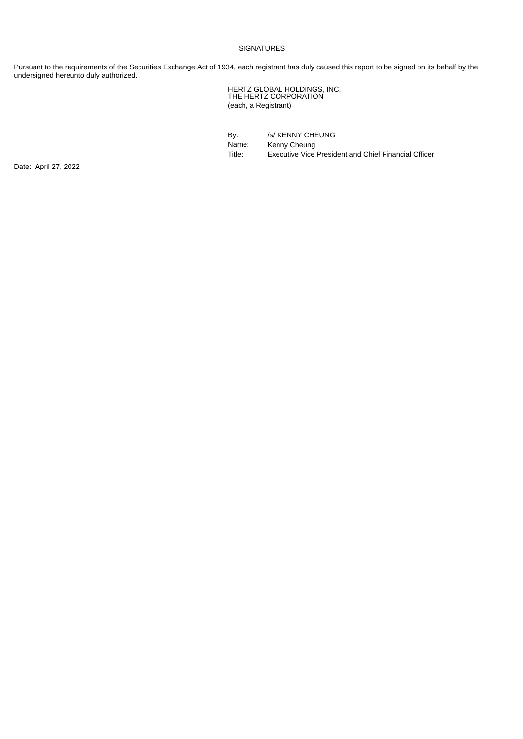### SIGNATURES

Pursuant to the requirements of the Securities Exchange Act of 1934, each registrant has duly caused this report to be signed on its behalf by the undersigned hereunto duly authorized.

> HERTZ GLOBAL HOLDINGS, INC. THE HERTZ CORPORATION (each, a Registrant)

By: /s/ KENNY CHEUNG

Name: Kenny Cheung<br>Title: Executive Vice Executive Vice President and Chief Financial Officer

Date: April 27, 2022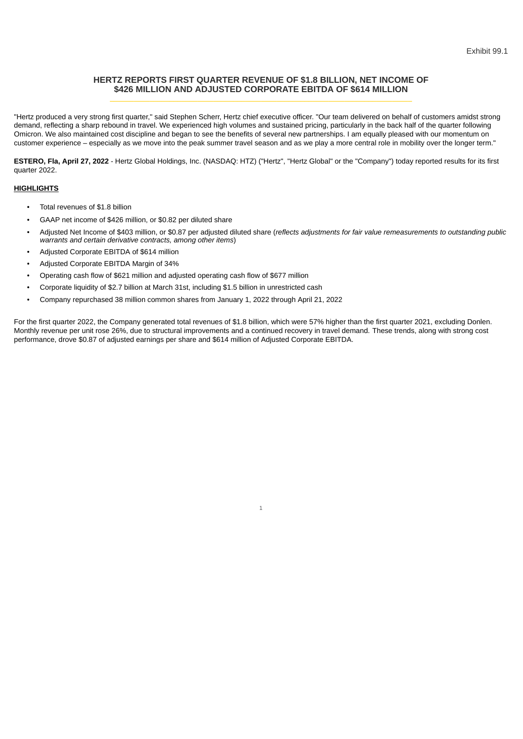## <span id="page-3-0"></span>**HERTZ REPORTS FIRST QUARTER REVENUE OF \$1.8 BILLION, NET INCOME OF \$426 MILLION AND ADJUSTED CORPORATE EBITDA OF \$614 MILLION \_\_\_\_\_\_\_\_\_\_\_\_\_\_\_\_\_\_\_\_\_\_\_\_\_\_\_\_\_\_\_\_\_\_\_\_\_\_\_\_\_\_\_\_\_\_\_\_\_\_\_\_\_\_\_\_\_\_\_\_\_\_\_\_\_\_\_\_\_\_\_\_\_\_\_\_**

"Hertz produced a very strong first quarter," said Stephen Scherr, Hertz chief executive officer. "Our team delivered on behalf of customers amidst strong demand, reflecting a sharp rebound in travel. We experienced high volumes and sustained pricing, particularly in the back half of the quarter following Omicron. We also maintained cost discipline and began to see the benefits of several new partnerships. I am equally pleased with our momentum on customer experience – especially as we move into the peak summer travel season and as we play a more central role in mobility over the longer term."

**ESTERO, Fla, April 27, 2022** - Hertz Global Holdings, Inc. (NASDAQ: HTZ) ("Hertz", "Hertz Global" or the "Company") today reported results for its first quarter 2022.

### **HIGHLIGHTS**

- Total revenues of \$1.8 billion
- GAAP net income of \$426 million, or \$0.82 per diluted share
- Adjusted Net Income of \$403 million, or \$0.87 per adjusted diluted share (*reflects adjustments for fair value remeasurements to outstanding public warrants and certain derivative contracts, among other items*)
- Adjusted Corporate EBITDA of \$614 million
- Adjusted Corporate EBITDA Margin of 34%
- Operating cash flow of \$621 million and adjusted operating cash flow of \$677 million
- Corporate liquidity of \$2.7 billion at March 31st, including \$1.5 billion in unrestricted cash
- Company repurchased 38 million common shares from January 1, 2022 through April 21, 2022

For the first quarter 2022, the Company generated total revenues of \$1.8 billion, which were 57% higher than the first quarter 2021, excluding Donlen. Monthly revenue per unit rose 26%, due to structural improvements and a continued recovery in travel demand. These trends, along with strong cost performance, drove \$0.87 of adjusted earnings per share and \$614 million of Adjusted Corporate EBITDA.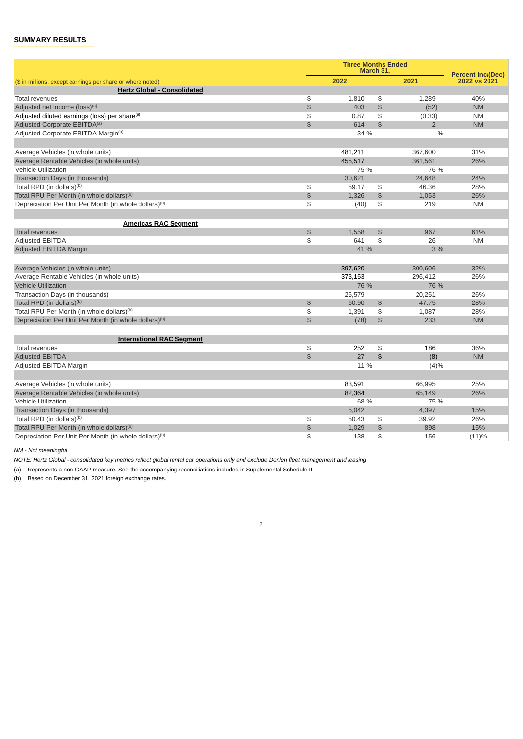# **SUMMARY RESULTS**

|                                                                   |                | <b>Three Months Ended</b> | March 31,      |                | <b>Percent Inc/(Dec)</b> |
|-------------------------------------------------------------------|----------------|---------------------------|----------------|----------------|--------------------------|
| (\$ in millions, except earnings per share or where noted)        |                | 2022                      |                | 2021           | 2022 vs 2021             |
| <b>Hertz Global - Consolidated</b>                                |                |                           |                |                |                          |
| <b>Total revenues</b>                                             | \$             | 1,810                     | \$             | 1,289          | 40%                      |
| Adjusted net income (loss) <sup>(a)</sup>                         | $\mathfrak{P}$ | 403                       | \$             | (52)           | <b>NM</b>                |
| Adjusted diluted earnings (loss) per share <sup>(a)</sup>         | \$             | 0.87                      | \$             | (0.33)         | <b>NM</b>                |
| Adjusted Corporate EBITDA <sup>(a)</sup>                          | $$\mathbb{S}$$ | 614                       | $\mathfrak{D}$ | $\overline{2}$ | <b>NM</b>                |
| Adjusted Corporate EBITDA Margin <sup>(a)</sup>                   |                | 34 %                      |                | $-$ %          |                          |
|                                                                   |                |                           |                |                |                          |
| Average Vehicles (in whole units)                                 |                | 481,211                   |                | 367,600        | 31%                      |
| Average Rentable Vehicles (in whole units)                        |                | 455,517                   |                | 361,561        | 26%                      |
| <b>Vehicle Utilization</b>                                        |                | 75 %                      |                | 76 %           |                          |
| Transaction Days (in thousands)                                   |                | 30,621                    |                | 24,648         | 24%                      |
| Total RPD (in dollars) <sup>(b)</sup>                             | \$             | 59.17                     | \$             | 46.36          | 28%                      |
| Total RPU Per Month (in whole dollars) <sup>(b)</sup>             | $\frac{1}{2}$  | 1,326                     | $\frac{1}{2}$  | 1,053          | 26%                      |
| Depreciation Per Unit Per Month (in whole dollars) <sup>(b)</sup> | \$             | (40)                      | \$             | 219            | <b>NM</b>                |
|                                                                   |                |                           |                |                |                          |
| <b>Americas RAC Segment</b>                                       |                |                           |                |                |                          |
| <b>Total revenues</b>                                             | \$             | 1,558                     | $\mathfrak{L}$ | 967            | 61%                      |
| <b>Adjusted EBITDA</b>                                            | \$             | 641                       | \$             | 26             | <b>NM</b>                |
| Adjusted EBITDA Margin                                            |                | 41 %                      |                | 3%             |                          |
|                                                                   |                |                           |                |                |                          |
| Average Vehicles (in whole units)                                 |                | 397,620                   |                | 300,606        | 32%                      |
| Average Rentable Vehicles (in whole units)                        |                | 373,153                   |                | 296,412        | 26%                      |
| <b>Vehicle Utilization</b>                                        |                | 76 %                      |                | 76 %           |                          |
| Transaction Days (in thousands)                                   |                | 25,579                    |                | 20,251         | 26%                      |
| Total RPD (in dollars) <sup>(b)</sup>                             | $\mathfrak{P}$ | 60.90                     | \$             | 47.75          | 28%                      |
| Total RPU Per Month (in whole dollars) <sup>(b)</sup>             | \$             | 1,391                     | \$             | 1,087          | 28%                      |
| Depreciation Per Unit Per Month (in whole dollars) <sup>(b)</sup> | \$             | (78)                      | $\frac{4}{5}$  | 233            | <b>NM</b>                |
|                                                                   |                |                           |                |                |                          |
| <b>International RAC Segment</b>                                  |                |                           |                |                |                          |
| <b>Total revenues</b>                                             | \$             | 252                       | \$             | 186            | 36%                      |
| <b>Adjusted EBITDA</b>                                            | \$             | 27                        | \$             | (8)            | <b>NM</b>                |
| Adjusted EBITDA Margin                                            |                | 11 %                      |                | (4)%           |                          |
|                                                                   |                |                           |                |                |                          |
| Average Vehicles (in whole units)                                 |                | 83,591                    |                | 66,995         | 25%                      |
| Average Rentable Vehicles (in whole units)                        |                | 82.364                    |                | 65.149         | 26%                      |
| Vehicle Utilization                                               |                | 68 %                      |                | 75 %           |                          |
| Transaction Days (in thousands)                                   |                | 5.042                     |                | 4.397          | 15%                      |
| Total RPD (in dollars) <sup>(b)</sup>                             | \$             | 50.43                     | \$             | 39.92          | 26%                      |
| Total RPU Per Month (in whole dollars) <sup>(b)</sup>             | \$             | 1,029                     | $\frac{1}{2}$  | 898            | 15%                      |
| Depreciation Per Unit Per Month (in whole dollars) <sup>(b)</sup> | \$             | 138                       | \$             | 156            | (11)%                    |

2

*NM - Not meaningful*

NOTE: Hertz Global - consolidated key metrics reflect global rental car operations only and exclude Donlen fleet management and leasing

(a) Represents a non-GAAP measure. See the accompanying reconciliations included in Supplemental Schedule II.

(b) Based on December 31, 2021 foreign exchange rates.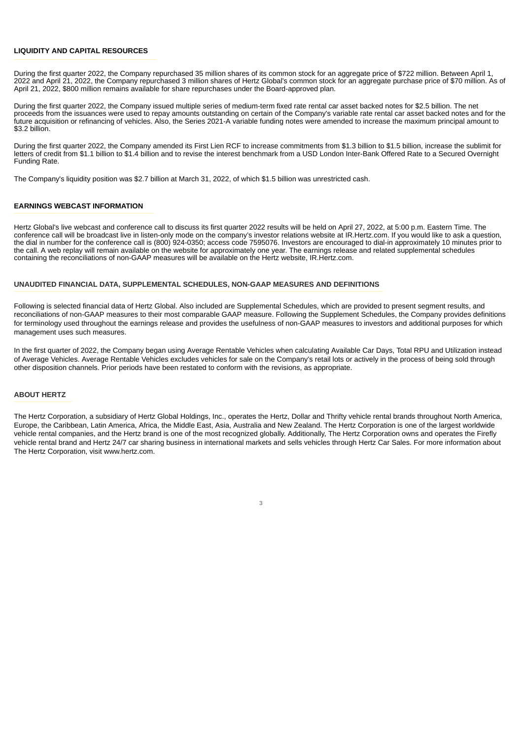#### **LIQUIDITY AND CAPITAL RESOURCES**

During the first quarter 2022, the Company repurchased 35 million shares of its common stock for an aggregate price of \$722 million. Between April 1, 2022 and April 21, 2022, the Company repurchased 3 million shares of Hertz Global's common stock for an aggregate purchase price of \$70 million. As of April 21, 2022, \$800 million remains available for share repurchases under the Board-approved plan.

During the first quarter 2022, the Company issued multiple series of medium-term fixed rate rental car asset backed notes for \$2.5 billion. The net proceeds from the issuances were used to repay amounts outstanding on certain of the Company's variable rate rental car asset backed notes and for the future acquisition or refinancing of vehicles. Also, the Series 2021-A variable funding notes were amended to increase the maximum principal amount to \$3.2 billion.

During the first quarter 2022, the Company amended its First Lien RCF to increase commitments from \$1.3 billion to \$1.5 billion, increase the sublimit for letters of credit from \$1.1 billion to \$1.4 billion and to revise the interest benchmark from a USD London Inter-Bank Offered Rate to a Secured Overnight Funding Rate.

The Company's liquidity position was \$2.7 billion at March 31, 2022, of which \$1.5 billion was unrestricted cash.

#### **EARNINGS WEBCAST INFORMATION**

Hertz Global's live webcast and conference call to discuss its first quarter 2022 results will be held on April 27, 2022, at 5:00 p.m. Eastern Time. The conference call will be broadcast live in listen-only mode on the company's investor relations website at IR.Hertz.com. If you would like to ask a question, the dial in number for the conference call is (800) 924-0350; access code 7595076. Investors are encouraged to dial-in approximately 10 minutes prior to the call. A web replay will remain available on the website for approximately one year. The earnings release and related supplemental schedules containing the reconciliations of non-GAAP measures will be available on the Hertz website, IR.Hertz.com.

#### **UNAUDITED FINANCIAL DATA, SUPPLEMENTAL SCHEDULES, NON-GAAP MEASURES AND DEFINITIONS \_\_\_\_\_\_\_\_\_\_\_\_\_\_\_\_\_\_\_\_\_\_\_\_\_\_\_\_\_\_\_\_\_\_\_\_\_\_\_\_\_\_\_\_\_\_\_\_\_\_\_\_\_\_\_\_\_\_\_\_\_\_\_\_\_\_\_\_\_\_\_\_\_\_\_\_\_\_\_\_\_\_\_\_\_\_\_\_\_\_\_\_\_\_\_\_\_\_\_\_\_\_\_\_\_\_\_\_\_\_\_\_\_\_\_\_\_\_\_\_\_\_\_\_\_\_\_\_\_\_\_\_\_\_\_\_\_\_\_\_\_\_\_\_\_\_\_\_\_\_\_\_\_**

Following is selected financial data of Hertz Global. Also included are Supplemental Schedules, which are provided to present segment results, and reconciliations of non-GAAP measures to their most comparable GAAP measure. Following the Supplement Schedules, the Company provides definitions for terminology used throughout the earnings release and provides the usefulness of non-GAAP measures to investors and additional purposes for which management uses such measures.

In the first quarter of 2022, the Company began using Average Rentable Vehicles when calculating Available Car Days, Total RPU and Utilization instead of Average Vehicles. Average Rentable Vehicles excludes vehicles for sale on the Company's retail lots or actively in the process of being sold through other disposition channels. Prior periods have been restated to conform with the revisions, as appropriate.

### **ABOUT HERTZ**

The Hertz Corporation, a subsidiary of Hertz Global Holdings, Inc., operates the Hertz, Dollar and Thrifty vehicle rental brands throughout North America, Europe, the Caribbean, Latin America, Africa, the Middle East, Asia, Australia and New Zealand. The Hertz Corporation is one of the largest worldwide vehicle rental companies, and the Hertz brand is one of the most recognized globally. Additionally, The Hertz Corporation owns and operates the Firefly vehicle rental brand and Hertz 24/7 car sharing business in international markets and sells vehicles through Hertz Car Sales. For more information about The Hertz Corporation, visit www.hertz.com.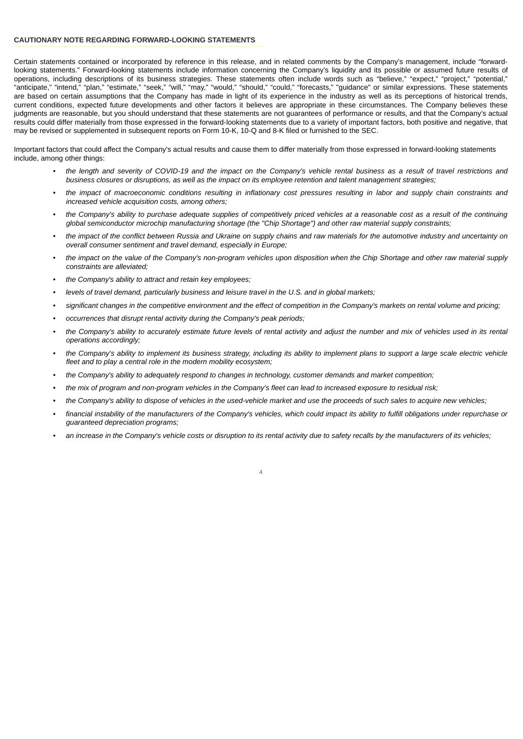### **CAUTIONARY NOTE REGARDING FORWARD-LOOKING STATEMENTS**

Certain statements contained or incorporated by reference in this release, and in related comments by the Company's management, include "forwardlooking statements." Forward-looking statements include information concerning the Company's liquidity and its possible or assumed future results of operations, including descriptions of its business strategies. These statements often include words such as "believe," "expect," "project," "potential," "anticipate," "intend," "plan," "estimate," "seek," "will," "may," "would," "should," "could," "forecasts," "guidance" or similar expressions. These statements are based on certain assumptions that the Company has made in light of its experience in the industry as well as its perceptions of historical trends, current conditions, expected future developments and other factors it believes are appropriate in these circumstances. The Company believes these judgments are reasonable, but you should understand that these statements are not guarantees of performance or results, and that the Company's actual results could differ materially from those expressed in the forward-looking statements due to a variety of important factors, both positive and negative, that may be revised or supplemented in subsequent reports on Form 10-K, 10-Q and 8-K filed or furnished to the SEC.

Important factors that could affect the Company's actual results and cause them to differ materially from those expressed in forward-looking statements include, among other things:

- the length and severity of COVID-19 and the impact on the Company's vehicle rental business as a result of travel restrictions and business closures or disruptions, as well as the impact on its employee retention and talent management strategies;
- the impact of macroeconomic conditions resulting in inflationary cost pressures resulting in labor and supply chain constraints and *increased vehicle acquisition costs, among others;*
- the Company's ability to purchase adequate supplies of competitively priced vehicles at a reasonable cost as a result of the continuing *global semiconductor microchip manufacturing shortage (the "Chip Shortage") and other raw material supply constraints;*
- the impact of the conflict between Russia and Ukraine on supply chains and raw materials for the automotive industry and uncertainty on *overall consumer sentiment and travel demand, especially in Europe;*
- the impact on the value of the Company's non-program vehicles upon disposition when the Chip Shortage and other raw material supply *constraints are alleviated;*
- *• the Company's ability to attract and retain key employees;*
- *• levels of travel demand, particularly business and leisure travel in the U.S. and in global markets;*
- significant changes in the competitive environment and the effect of competition in the Company's markets on rental volume and pricing;
- *• occurrences that disrupt rental activity during the Company's peak periods;*
- the Company's ability to accurately estimate future levels of rental activity and adjust the number and mix of vehicles used in its rental *operations accordingly;*
- the Company's ability to implement its business strategy, including its ability to implement plans to support a large scale electric vehicle *fleet and to play a central role in the modern mobility ecosystem;*
- *• the Company's ability to adequately respond to changes in technology, customer demands and market competition;*
- the mix of program and non-program vehicles in the Company's fleet can lead to increased exposure to residual risk;
- the Company's ability to dispose of vehicles in the used-vehicle market and use the proceeds of such sales to acquire new vehicles;
- financial instability of the manufacturers of the Company's vehicles, which could impact its ability to fulfill obligations under repurchase or *guaranteed depreciation programs;*
- an increase in the Company's vehicle costs or disruption to its rental activity due to safety recalls by the manufacturers of its vehicles;

 $\overline{A}$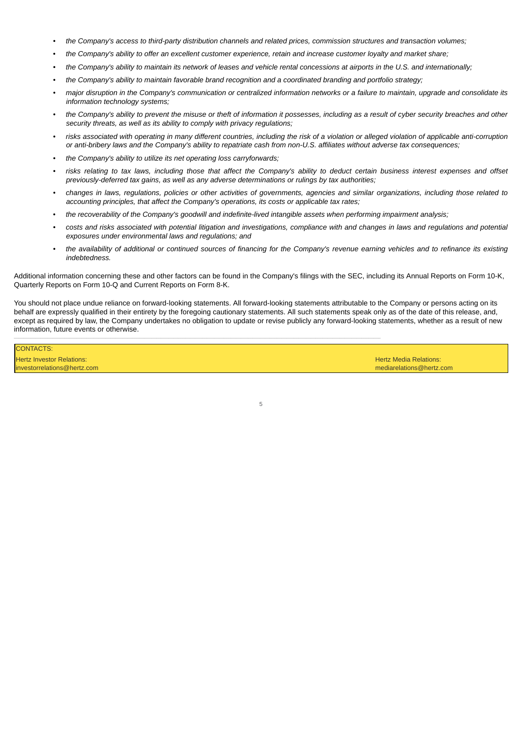- the Company's access to third-party distribution channels and related prices, commission structures and transaction volumes;
- the Company's ability to offer an excellent customer experience, retain and increase customer loyalty and market share;
- the Company's ability to maintain its network of leases and vehicle rental concessions at airports in the U.S. and internationally;
- the Company's ability to maintain favorable brand recognition and a coordinated branding and portfolio strategy;
- major disruption in the Company's communication or centralized information networks or a failure to maintain, upgrade and consolidate its *information technology systems;*
- the Company's ability to prevent the misuse or theft of information it possesses, including as a result of cyber security breaches and other *security threats, as well as its ability to comply with privacy regulations;*
- risks associated with operating in many different countries, including the risk of a violation or alleged violation of applicable anti-corruption or anti-bribery laws and the Company's ability to repatriate cash from non-U.S. affiliates without adverse tax consequences;
- *• the Company's ability to utilize its net operating loss carryforwards;*
- risks relating to tax laws, including those that affect the Company's ability to deduct certain business interest expenses and offset *previously-deferred tax gains, as well as any adverse determinations or rulings by tax authorities;*
- changes in laws, regulations, policies or other activities of governments, agencies and similar organizations, including those related to *accounting principles, that affect the Company's operations, its costs or applicable tax rates;*
- *the recoverability of the Company's goodwill and indefinite-lived intangible assets when performing impairment analysis;*
- costs and risks associated with potential litigation and investigations, compliance with and changes in laws and regulations and potential *exposures under environmental laws and regulations; and*
- the availability of additional or continued sources of financing for the Company's revenue earning vehicles and to refinance its existing *indebtedness.*

Additional information concerning these and other factors can be found in the Company's filings with the SEC, including its Annual Reports on Form 10-K, Quarterly Reports on Form 10-Q and Current Reports on Form 8-K.

You should not place undue reliance on forward-looking statements. All forward-looking statements attributable to the Company or persons acting on its behalf are expressly qualified in their entirety by the foregoing cautionary statements. All such statements speak only as of the date of this release, and, except as required by law, the Company undertakes no obligation to update or revise publicly any forward-looking statements, whether as a result of new information, future events or otherwise.

5

 $\mathcal{L}_\mathcal{L} = \mathcal{L}_\mathcal{L} = \mathcal{L}_\mathcal{L} = \mathcal{L}_\mathcal{L} = \mathcal{L}_\mathcal{L} = \mathcal{L}_\mathcal{L} = \mathcal{L}_\mathcal{L} = \mathcal{L}_\mathcal{L} = \mathcal{L}_\mathcal{L} = \mathcal{L}_\mathcal{L} = \mathcal{L}_\mathcal{L} = \mathcal{L}_\mathcal{L} = \mathcal{L}_\mathcal{L} = \mathcal{L}_\mathcal{L} = \mathcal{L}_\mathcal{L} = \mathcal{L}_\mathcal{L} = \mathcal{L}_\mathcal{L}$ 

**CONTACTS** Hertz Investor Relations: Hertz Media Relations:

investorrelations@hertz.com mediarelations@hertz.com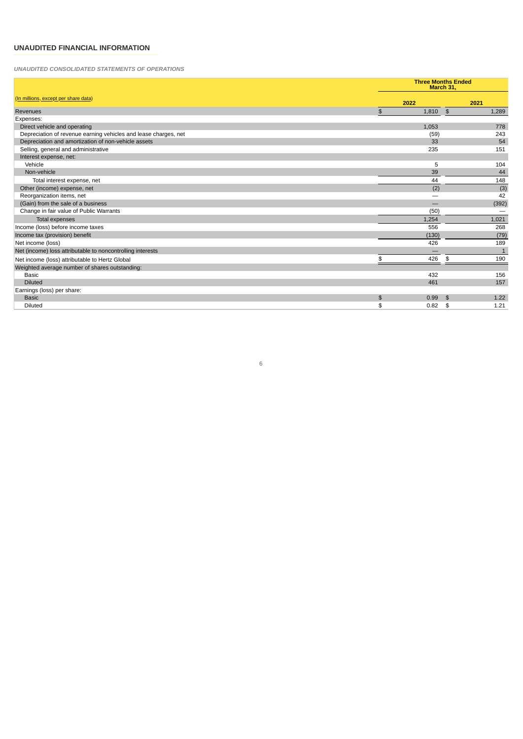# **UNAUDITED FINANCIAL INFORMATION \_\_\_\_\_\_\_\_\_\_\_\_\_\_\_\_\_\_\_\_\_\_\_\_\_\_\_\_\_\_\_\_\_\_\_\_\_\_\_\_\_\_\_\_\_\_\_\_\_\_\_\_\_\_\_\_\_\_\_\_**

*UNAUDITED CONSOLIDATED STATEMENTS OF OPERATIONS*

|                                                                 |                         | <b>Three Months Ended</b><br>March 31, |              |
|-----------------------------------------------------------------|-------------------------|----------------------------------------|--------------|
| (In millions, except per share data)                            | 2022                    |                                        | 2021         |
| Revenues                                                        | 1,810<br>$\mathfrak{S}$ | $\frac{3}{2}$                          | 1,289        |
| Expenses:                                                       |                         |                                        |              |
| Direct vehicle and operating                                    | 1,053                   |                                        | 778          |
| Depreciation of revenue earning vehicles and lease charges, net |                         | (59)                                   | 243          |
| Depreciation and amortization of non-vehicle assets             |                         | 33                                     | 54           |
| Selling, general and administrative                             |                         | 235                                    | 151          |
| Interest expense, net:                                          |                         |                                        |              |
| Vehicle                                                         |                         | 5                                      | 104          |
| Non-vehicle                                                     |                         | 39                                     | 44           |
| Total interest expense, net                                     |                         | 44                                     | 148          |
| Other (income) expense, net                                     |                         | (2)                                    | (3)          |
| Reorganization items, net                                       |                         |                                        | 42           |
| (Gain) from the sale of a business                              |                         |                                        | (392)        |
| Change in fair value of Public Warrants                         |                         | (50)                                   |              |
| Total expenses                                                  | 1,254                   |                                        | 1,021        |
| Income (loss) before income taxes                               |                         | 556                                    | 268          |
| Income tax (provision) benefit                                  | (130)                   |                                        | (79)         |
| Net income (loss)                                               |                         | 426                                    | 189          |
| Net (income) loss attributable to noncontrolling interests      |                         |                                        | $\mathbf{1}$ |
| Net income (loss) attributable to Hertz Global                  |                         | 426<br>\$                              | 190          |
| Weighted average number of shares outstanding:                  |                         |                                        |              |
| <b>Basic</b>                                                    |                         | 432                                    | 156          |
| <b>Diluted</b>                                                  |                         | 461                                    | 157          |
| Earnings (loss) per share:                                      |                         |                                        |              |
| <b>Basic</b>                                                    | $\mathfrak{S}$<br>0.99  | \$                                     | 1.22         |
| <b>Diluted</b>                                                  | \$<br>0.82              | \$                                     | 1.21         |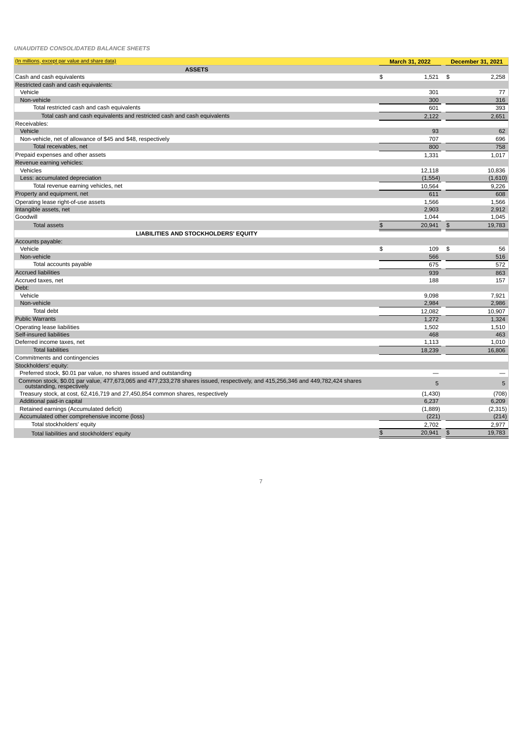#### *UNAUDITED CONSOLIDATED BALANCE SHEETS*

| (In millions, except par value and share data)                                                                                                            | March 31, 2022             | <b>December 31, 2021</b> |
|-----------------------------------------------------------------------------------------------------------------------------------------------------------|----------------------------|--------------------------|
| <b>ASSETS</b>                                                                                                                                             |                            |                          |
| Cash and cash equivalents                                                                                                                                 | \$<br>1,521                | 2,258<br>\$              |
| Restricted cash and cash equivalents:                                                                                                                     |                            |                          |
| Vehicle                                                                                                                                                   | 301                        | 77                       |
| Non-vehicle                                                                                                                                               | 300                        | 316                      |
| Total restricted cash and cash equivalents                                                                                                                | 601                        | 393                      |
| Total cash and cash equivalents and restricted cash and cash equivalents                                                                                  | 2.122                      | 2,651                    |
| Receivables:                                                                                                                                              |                            |                          |
| Vehicle                                                                                                                                                   | 93                         | 62                       |
| Non-vehicle, net of allowance of \$45 and \$48, respectively                                                                                              | 707                        | 696                      |
| Total receivables, net                                                                                                                                    | 800                        | 758                      |
| Prepaid expenses and other assets                                                                                                                         | 1.331                      | 1.017                    |
| Revenue earning vehicles:                                                                                                                                 |                            |                          |
| Vehicles                                                                                                                                                  | 12.118                     | 10,836                   |
| Less: accumulated depreciation                                                                                                                            | (1, 554)                   | (1,610)                  |
| Total revenue earning vehicles, net                                                                                                                       | 10,564                     | 9,226                    |
| Property and equipment, net                                                                                                                               | 611                        | 608                      |
| Operating lease right-of-use assets                                                                                                                       | 1,566                      | 1,566                    |
| Intangible assets, net                                                                                                                                    | 2,903                      | 2,912                    |
| Goodwill                                                                                                                                                  | 1.044                      | 1,045                    |
| <b>Total assets</b>                                                                                                                                       | $\frac{1}{2}$<br>20,941    | $\frac{1}{2}$<br>19,783  |
| LIABILITIES AND STOCKHOLDERS' EQUITY                                                                                                                      |                            |                          |
| Accounts payable:                                                                                                                                         |                            |                          |
| Vehicle                                                                                                                                                   | \$<br>109                  | \$<br>56                 |
| Non-vehicle                                                                                                                                               | 566                        | 516                      |
| Total accounts payable                                                                                                                                    | 675                        | 572                      |
| <b>Accrued liabilities</b>                                                                                                                                | 939                        | 863                      |
| Accrued taxes, net                                                                                                                                        | 188                        | 157                      |
| Debt:                                                                                                                                                     |                            |                          |
| Vehicle                                                                                                                                                   | 9,098                      | 7,921                    |
| Non-vehicle                                                                                                                                               | 2,984                      | 2,986                    |
| <b>Total debt</b>                                                                                                                                         | 12,082                     | 10,907                   |
| <b>Public Warrants</b>                                                                                                                                    | 1,272                      | 1,324                    |
| Operating lease liabilities                                                                                                                               | 1,502                      | 1,510                    |
| Self-insured liabilities                                                                                                                                  | 468                        | 463                      |
| Deferred income taxes, net                                                                                                                                | 1.113                      | 1,010                    |
| <b>Total liabilities</b>                                                                                                                                  | 18,239                     | 16,806                   |
| Commitments and contingencies<br>Stockholders' equity:                                                                                                    |                            |                          |
| Preferred stock, \$0.01 par value, no shares issued and outstanding                                                                                       |                            |                          |
| Common stock, \$0.01 par value, 477,673,065 and 477,233,278 shares issued, respectively, and 415,256,346 and 449,782,424 shares outstanding, respectively | 5                          | 5                        |
| Treasury stock, at cost, 62,416,719 and 27,450,854 common shares, respectively                                                                            | (1, 430)                   | (708)                    |
| Additional paid-in capital                                                                                                                                | 6,237                      | 6,209                    |
| Retained earnings (Accumulated deficit)                                                                                                                   | (1,889)                    | (2, 315)                 |
| Accumulated other comprehensive income (loss)                                                                                                             | (221)                      | (214)                    |
| Total stockholders' equity                                                                                                                                | 2,702                      | 2,977                    |
|                                                                                                                                                           | $$\mathfrak{F}$$<br>20,941 | 19,783<br>$\frac{1}{2}$  |
| Total liabilities and stockholders' equity                                                                                                                |                            |                          |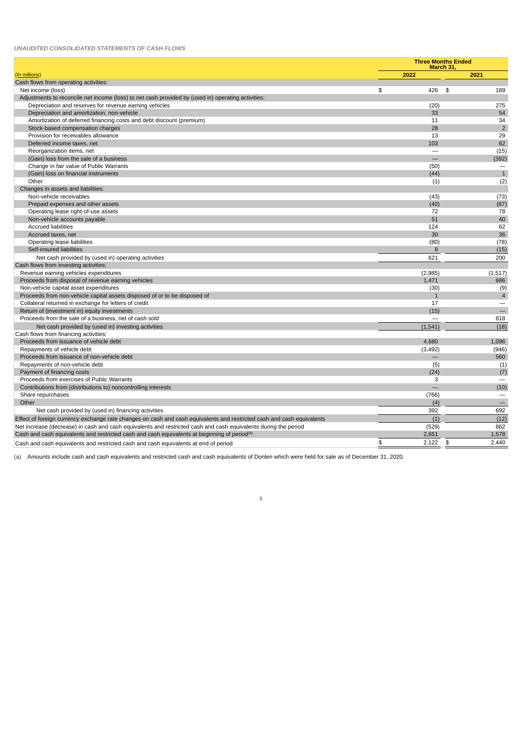#### *UNAUDITED CONSOLIDATED STATEMENTS OF CASH FLOWS*

|                                                                                                                        | <b>Three Months Ended</b> | March 31, |                          |
|------------------------------------------------------------------------------------------------------------------------|---------------------------|-----------|--------------------------|
| (In millions)                                                                                                          | 2022                      |           | 2021                     |
| Cash flows from operating activities:                                                                                  |                           |           |                          |
| Net income (loss)                                                                                                      | \$<br>426                 | \$        | 189                      |
| Adjustments to reconcile net income (loss) to net cash provided by (used in) operating activities:                     |                           |           |                          |
| Depreciation and reserves for revenue earning vehicles                                                                 | (20)                      |           | 275                      |
| Depreciation and amortization, non-vehicle                                                                             | 33                        |           | 54                       |
| Amortization of deferred financing costs and debt discount (premium)                                                   | 11                        |           | 34                       |
| Stock-based compensation charges                                                                                       | 28                        |           | $\overline{2}$           |
| Provision for receivables allowance                                                                                    | 13                        |           | 29                       |
| Deferred income taxes, net                                                                                             | 103                       |           | 62                       |
| Reorganization items, net                                                                                              |                           |           | (15)                     |
| (Gain) loss from the sale of a business                                                                                |                           |           | (392)                    |
| Change in fair value of Public Warrants                                                                                | (50)                      |           |                          |
| (Gain) loss on financial instruments                                                                                   | (44)                      |           | $\mathbf{1}$             |
| Other                                                                                                                  | (1)                       |           | (2)                      |
| Changes in assets and liabilities:                                                                                     |                           |           |                          |
| Non-vehicle receivables                                                                                                | (43)                      |           | (73)                     |
| Prepaid expenses and other assets                                                                                      | (40)                      |           | (87)                     |
| Operating lease right-of-use assets                                                                                    | 72                        |           | 78                       |
| Non-vehicle accounts payable                                                                                           | 51                        |           | 40                       |
| <b>Accrued liabilities</b>                                                                                             | 124                       |           | 62                       |
| Accrued taxes, net                                                                                                     | 30                        |           | 36                       |
| Operating lease liabilities                                                                                            | (80)                      |           | (78)                     |
| Self-insured liabilities                                                                                               | 8                         |           | (15)                     |
| Net cash provided by (used in) operating activities                                                                    | 621                       |           | 200                      |
| Cash flows from investing activities:                                                                                  |                           |           |                          |
| Revenue earning vehicles expenditures                                                                                  | (2,985)                   |           | (1,517)                  |
| Proceeds from disposal of revenue earning vehicles                                                                     | 1.471                     |           | 686                      |
| Non-vehicle capital asset expenditures                                                                                 | (30)                      |           | (9)                      |
| Proceeds from non-vehicle capital assets disposed of or to be disposed of                                              | $\mathbf{1}$              |           | $\overline{4}$           |
| Collateral returned in exchange for letters of credit                                                                  | 17                        |           | $\qquad \qquad -$        |
| Return of (investment in) equity investments                                                                           | (15)                      |           | $\equiv$                 |
| Proceeds from the sale of a business, net of cash sold                                                                 |                           |           | 818                      |
| Net cash provided by (used in) investing activities                                                                    | (1, 541)                  |           | (18)                     |
| Cash flows from financing activities:                                                                                  |                           |           |                          |
| Proceeds from issuance of vehicle debt                                                                                 | 4,680                     |           | 1,096                    |
| Repayments of vehicle debt                                                                                             | (3, 492)                  |           | (946)                    |
| Proceeds from issuance of non-vehicle debt                                                                             |                           |           | 560                      |
| Repayments of non-vehicle debt                                                                                         | (5)                       |           | (1)                      |
| Payment of financing costs                                                                                             | (24)                      |           | (7)                      |
| Proceeds from exercises of Public Warrants                                                                             | 3                         |           | $\sim$                   |
| Contributions from (distributions to) noncontrolling interests                                                         | $\equiv$                  |           | (10)                     |
| Share repurchases                                                                                                      | (766)                     |           | $\overline{\phantom{m}}$ |
| Other                                                                                                                  | (4)                       |           |                          |
| Net cash provided by (used in) financing activities                                                                    | 392                       |           | 692                      |
| Effect of foreign currency exchange rate changes on cash and cash equivalents and restricted cash and cash equivalents | (1)                       |           | (12)                     |
| Net increase (decrease) in cash and cash equivalents and restricted cash and cash equivalents during the period        | (529)                     |           | 862                      |
| Cash and cash equivalents and restricted cash and cash equivalents at beginning of period <sup>(a)</sup>               | 2,651                     |           | 1,578                    |
|                                                                                                                        |                           |           |                          |
| Cash and cash equivalents and restricted cash and cash equivalents at end of period                                    | \$<br>2,122               | \$        | 2,440                    |

(a) Amounts include cash and cash equivalents and restricted cash and cash equivalents of Donlen which were held for sale as of December 31, 2020.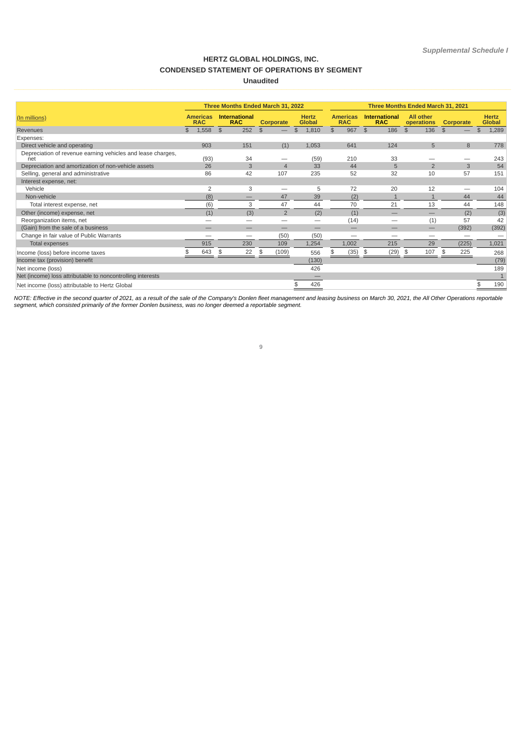# **HERTZ GLOBAL HOLDINGS, INC. CONDENSED STATEMENT OF OPERATIONS BY SEGMENT Unaudited**

|                                                                    | Three Months Ended March 31, 2022 |                                                                                                                                                           |                |                                    |    |                |                                | Three Months Ended March 31, 2021 |    |                               |    |      |    |                |           |    |       |
|--------------------------------------------------------------------|-----------------------------------|-----------------------------------------------------------------------------------------------------------------------------------------------------------|----------------|------------------------------------|----|----------------|--------------------------------|-----------------------------------|----|-------------------------------|----|------|----|----------------|-----------|----|-------|
| (In millions)                                                      |                                   | <b>International</b><br><b>Hertz</b><br><b>Americas</b><br><b>Americas</b><br><b>Global</b><br><b>RAC</b><br><b>RAC</b><br><b>RAC</b><br><b>Corporate</b> |                | <b>International</b><br><b>RAC</b> |    |                | <b>All other</b><br>operations | <b>Corporate</b>                  |    | <b>Hertz</b><br><b>Global</b> |    |      |    |                |           |    |       |
| Revenues                                                           | \$                                | 1,558                                                                                                                                                     | $$\mathbb{S}$$ | 252                                | \$ |                | \$                             | 1,810                             | \$ | 967                           | \$ | 186  | \$ | 136            | \$        | \$ | 1,289 |
| Expenses:                                                          |                                   |                                                                                                                                                           |                |                                    |    |                |                                |                                   |    |                               |    |      |    |                |           |    |       |
| Direct vehicle and operating                                       |                                   | 903                                                                                                                                                       |                | 151                                |    | (1)            |                                | 1,053                             |    | 641                           |    | 124  |    | 5              | 8         |    | 778   |
| Depreciation of revenue earning vehicles and lease charges,<br>net |                                   | (93)                                                                                                                                                      |                | 34                                 |    |                |                                | (59)                              |    | 210                           |    | 33   |    |                |           |    | 243   |
| Depreciation and amortization of non-vehicle assets                |                                   | 26                                                                                                                                                        |                | 3                                  |    | $\overline{4}$ |                                | 33                                |    | 44                            |    | 5    |    | $\overline{2}$ | 3         |    | 54    |
| Selling, general and administrative                                |                                   | 86                                                                                                                                                        |                | 42                                 |    | 107            |                                | 235                               |    | 52                            |    | 32   |    | 10             | 57        |    | 151   |
| Interest expense, net:                                             |                                   |                                                                                                                                                           |                |                                    |    |                |                                |                                   |    |                               |    |      |    |                |           |    |       |
| Vehicle                                                            |                                   | 2                                                                                                                                                         |                | 3                                  |    |                |                                | 5                                 |    | 72                            |    | 20   |    | 12             |           |    | 104   |
| Non-vehicle                                                        |                                   | (8)                                                                                                                                                       |                |                                    |    | 47             |                                | 39                                |    | (2)                           |    |      |    |                | 44        |    | 44    |
| Total interest expense, net                                        |                                   | (6)                                                                                                                                                       |                | 3                                  |    | 47             |                                | 44                                |    | 70                            |    | 21   |    | 13             | 44        |    | 148   |
| Other (income) expense, net                                        |                                   | (1)                                                                                                                                                       |                | (3)                                |    | $\overline{2}$ |                                | (2)                               |    | (1)                           |    |      |    | –              | (2)       |    | (3)   |
| Reorganization items, net                                          |                                   |                                                                                                                                                           |                |                                    |    |                |                                |                                   |    | (14)                          |    |      |    | (1)            | 57        |    | 42    |
| (Gain) from the sale of a business                                 |                                   |                                                                                                                                                           |                |                                    |    |                |                                |                                   |    |                               |    |      |    |                | (392)     |    | (392) |
| Change in fair value of Public Warrants                            |                                   |                                                                                                                                                           |                |                                    |    | (50)           |                                | (50)                              |    |                               |    | --   |    | —              |           |    |       |
| <b>Total expenses</b>                                              |                                   | 915                                                                                                                                                       |                | 230                                |    | 109            |                                | 1,254                             |    | 1,002                         |    | 215  |    | 29             | (225)     |    | 1,021 |
| Income (loss) before income taxes                                  |                                   | 643                                                                                                                                                       | \$             | 22                                 | \$ | (109)          |                                | 556                               | \$ | (35)                          | \$ | (29) | \$ | 107            | \$<br>225 |    | 268   |
| Income tax (provision) benefit                                     |                                   |                                                                                                                                                           |                |                                    |    |                |                                | (130)                             |    |                               |    |      |    |                |           |    | (79)  |
| Net income (loss)                                                  |                                   |                                                                                                                                                           |                |                                    |    |                |                                | 426                               |    |                               |    |      |    |                |           |    | 189   |
| Net (income) loss attributable to noncontrolling interests         |                                   |                                                                                                                                                           |                |                                    |    |                |                                |                                   |    |                               |    |      |    |                |           |    |       |
| Net income (loss) attributable to Hertz Global                     |                                   |                                                                                                                                                           |                |                                    |    |                |                                | 426                               |    |                               |    |      |    |                |           |    | 190   |

NOTE: Effective in the second quarter of 2021, as a result of the sale of the Company's Donlen fleet management and leasing business on March 30, 2021, the All Other Operations reportable<br>segment, which consisted primarily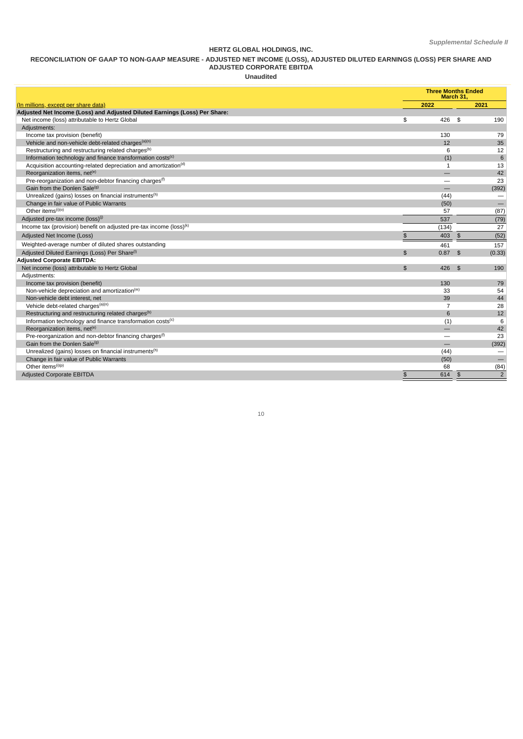### **HERTZ GLOBAL HOLDINGS, INC.**

#### **RECONCILIATION OF GAAP TO NON-GAAP MEASURE - ADJUSTED NET INCOME (LOSS), ADJUSTED DILUTED EARNINGS (LOSS) PER SHARE AND**

#### **ADJUSTED CORPORATE EBITDA**

**Unaudited**

|                                                                             |                | March 31,       | <b>Three Months Ended</b>       |
|-----------------------------------------------------------------------------|----------------|-----------------|---------------------------------|
| (In millions, except per share data)                                        |                | 2022            | 2021                            |
| Adjusted Net Income (Loss) and Adjusted Diluted Earnings (Loss) Per Share:  |                |                 |                                 |
| Net income (loss) attributable to Hertz Global                              | \$             | 426             | 190<br>\$                       |
| Adjustments:                                                                |                |                 |                                 |
| Income tax provision (benefit)                                              |                | 130             | 79                              |
| Vehicle and non-vehicle debt-related charges <sup>(a)(n)</sup>              |                | 12              | 35                              |
| Restructuring and restructuring related charges <sup>(b)</sup>              |                | 6               | 12                              |
| Information technology and finance transformation costs <sup>(c)</sup>      |                | (1)             | 6                               |
| Acquisition accounting-related depreciation and amortization <sup>(d)</sup> |                | 1               | 13                              |
| Reorganization items, net <sup>(e)</sup>                                    |                |                 | 42                              |
| Pre-reorganization and non-debtor financing charges <sup>(f)</sup>          |                |                 | 23                              |
| Gain from the Donlen Sale <sup>(g)</sup>                                    |                |                 | (392)                           |
| Unrealized (gains) losses on financial instruments <sup>(h)</sup>           |                | (44)            | $\overline{\phantom{0}}$        |
| Change in fair value of Public Warrants                                     |                | (50)            | $\equiv$                        |
| Other items <sup>(i)(o)</sup>                                               |                | 57              | (87)                            |
| Adjusted pre-tax income (loss) <sup>(j)</sup>                               |                | 537             | (79)                            |
| Income tax (provision) benefit on adjusted pre-tax income (loss) $(k)$      |                | (134)           | 27                              |
| Adjusted Net Income (Loss)                                                  | \$             | 403             | (52)<br>$\frac{3}{2}$           |
| Weighted-average number of diluted shares outstanding                       |                | 461             | 157                             |
| Adjusted Diluted Earnings (Loss) Per Share <sup>(1)</sup>                   | $\mathfrak{P}$ | 0.87            | (0.33)<br>\$                    |
| <b>Adjusted Corporate EBITDA:</b>                                           |                |                 |                                 |
| Net income (loss) attributable to Hertz Global                              | $\mathfrak{P}$ | 426             | 190<br>\$                       |
| Adjustments:                                                                |                |                 |                                 |
| Income tax provision (benefit)                                              |                | 130             | 79                              |
| Non-vehicle depreciation and amortization <sup>(m)</sup>                    |                | 33              | 54                              |
| Non-vehicle debt interest, net                                              |                | 39              | 44                              |
| Vehicle debt-related charges <sup>(a)(n)</sup>                              |                | 7               | 28                              |
| Restructuring and restructuring related charges <sup>(b)</sup>              |                | $6\overline{6}$ | 12                              |
| Information technology and finance transformation costs <sup>(c)</sup>      |                | (1)             | 6                               |
| Reorganization items, net <sup>(e)</sup>                                    |                |                 | 42                              |
| Pre-reorganization and non-debtor financing charges <sup>(f)</sup>          |                |                 | 23                              |
| Gain from the Donlen Sale <sup>(g)</sup>                                    |                |                 | (392)                           |
| Unrealized (gains) losses on financial instruments <sup>(h)</sup>           |                | (44)            |                                 |
| Change in fair value of Public Warrants                                     |                | (50)            |                                 |
| Other items <sup>(i)(p)</sup>                                               |                | 68              | (84)                            |
| <b>Adjusted Corporate EBITDA</b>                                            | \$             | 614             | $\overline{2}$<br>$\frac{3}{2}$ |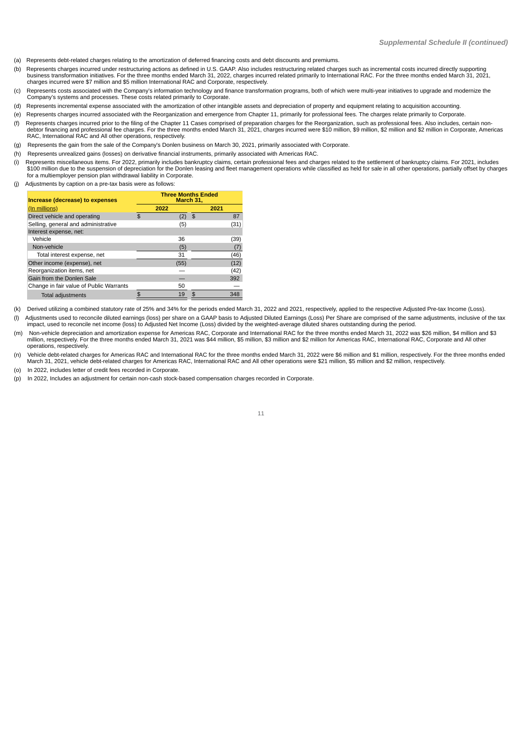- (a) Represents debt-related charges relating to the amortization of deferred financing costs and debt discounts and premiums.
- (b) Represents charges incurred under restructuring actions as defined in U.S. GAAP. Also includes restructuring related charges such as incremental costs incurred directly supporting business transformation initiatives. For the three months ended March 31, 2022, charges incurred related primarily to International RAC. For the three months ended March 31, 2021,<br>charges incurred were \$7 million and \$5 mi
- (c) Represents costs associated with the Company's information technology and finance transformation programs, both of which were multi-year initiatives to upgrade and modernize the Company's systems and processes. These costs related primarily to Corporate.
- (d) Represents incremental expense associated with the amortization of other intangible assets and depreciation of property and equipment relating to acquisition accounting.
- (e) Represents charges incurred associated with the Reorganization and emergence from Chapter 11, primarily for professional fees. The charges relate primarily to Corporate.
- (f) Represents charges incurred prior to the filing of the Chapter 11 Cases comprised of preparation charges for the Reorganization, such as professional fees. Also includes, certain non-<br>debtor financing and professional
- (g) Represents the gain from the sale of the Company's Donlen business on March 30, 2021, primarily associated with Corporate.
- (h) Represents unrealized gains (losses) on derivative financial instruments, primarily associated with Americas RAC.
- (i) Represents miscellaneous items. For 2022, primarily includes bankruptcy claims, certain professional fees and charges related to the settlement of bankruptcy claims. For 2021, includes \$100 million due to the suspension of depreciation for the Donlen leasing and fleet management operations while classified as held for sale in all other operations, partially offset by charges<br>for a multiemployer pension p
- Adjustments by caption on a pre-tax basis were as follows:

| Increase (decrease) to expenses         | <b>Three Months Ended</b><br>March 31. |      |    |      |  |  |  |  |  |
|-----------------------------------------|----------------------------------------|------|----|------|--|--|--|--|--|
| (In millions)                           |                                        | 2022 |    | 2021 |  |  |  |  |  |
| Direct vehicle and operating            | \$.                                    | 2)   | \$ | 87   |  |  |  |  |  |
| Selling, general and administrative     |                                        | (5)  |    | (31) |  |  |  |  |  |
| Interest expense, net:                  |                                        |      |    |      |  |  |  |  |  |
| Vehicle                                 |                                        | 36   |    | (39) |  |  |  |  |  |
| Non-vehicle                             |                                        | (5)  |    | (7)  |  |  |  |  |  |
| Total interest expense, net             |                                        | 31   |    | (46) |  |  |  |  |  |
| Other income (expense), net             |                                        | (55) |    | (12) |  |  |  |  |  |
| Reorganization items, net               |                                        |      |    | (42) |  |  |  |  |  |
| Gain from the Donlen Sale               |                                        |      |    | 392  |  |  |  |  |  |
| Change in fair value of Public Warrants |                                        | 50   |    |      |  |  |  |  |  |
| <b>Total adjustments</b>                |                                        | 19   |    |      |  |  |  |  |  |

(k) Derived utilizing a combined statutory rate of 25% and 34% for the periods ended March 31, 2022 and 2021, respectively, applied to the respective Adjusted Pre-tax Income (Loss). (I) Adjustments used to reconcile diluted earnings (loss) per share on a GAAP basis to Adjusted Diluted Earnings (Loss) Per Share are comprised of the same adjustments, inclusive of the tax

impact, used to reconcile net income (loss) to Adjusted Net Income (Loss) divided by the weighted-average diluted shares outstanding during the period. (m) Non-vehicle depreciation and amortization expense for Americas RAC, Corporate and International RAC for the three months ended March 31, 2022 was \$26 million, \$4 million and \$3

million, respectively. For the three months ended March 31, 2021 was \$44 million, \$5 million, \$3 million and \$2 million for Americas RAC, International RAC, Corporate and All other operations, respectively.

(n) Vehicle debt-related charges for Americas RAC and International RAC for the three months ended March 31, 2022 were \$6 million and \$1 million, respectively. For the three months ended March 31, 2021, vehicle debt-related charges for Americas RAC, International RAC and All other operations were \$21 million, \$5 million and \$2 million, respectively.

(o) In 2022, includes letter of credit fees recorded in Corporate.

(p) In 2022, Includes an adjustment for certain non-cash stock-based compensation charges recorded in Corporate.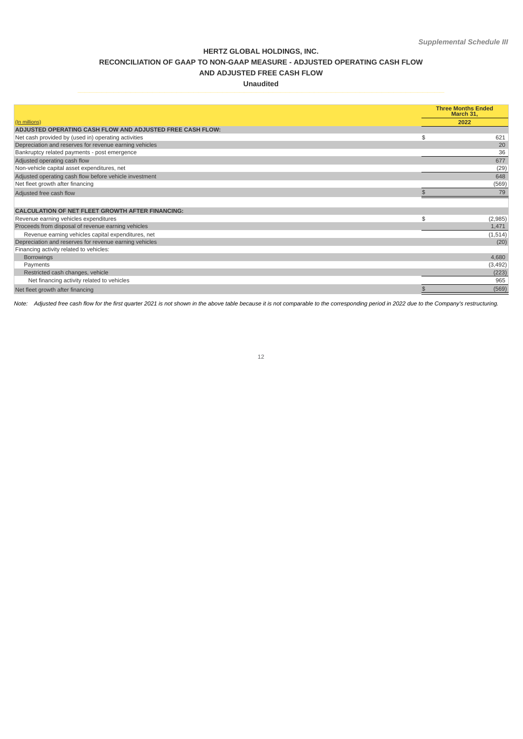# **HERTZ GLOBAL HOLDINGS, INC. RECONCILIATION OF GAAP TO NON-GAAP MEASURE - ADJUSTED OPERATING CASH FLOW AND ADJUSTED FREE CASH FLOW**

# **Unaudited**

|                                                           | <b>Three Months Ended</b><br>March 31. |
|-----------------------------------------------------------|----------------------------------------|
| (In millions)                                             | 2022                                   |
| ADJUSTED OPERATING CASH FLOW AND ADJUSTED FREE CASH FLOW: |                                        |
| Net cash provided by (used in) operating activities       | 621<br>\$.                             |
| Depreciation and reserves for revenue earning vehicles    | 20                                     |
| Bankruptcy related payments - post emergence              | 36                                     |
| Adjusted operating cash flow                              | 677                                    |
| Non-vehicle capital asset expenditures, net               | (29)                                   |
| Adjusted operating cash flow before vehicle investment    | 648                                    |
| Net fleet growth after financing                          | (569)                                  |
| Adjusted free cash flow                                   | 79                                     |
|                                                           |                                        |
| <b>CALCULATION OF NET FLEET GROWTH AFTER FINANCING:</b>   |                                        |
| Revenue earning vehicles expenditures                     | \$<br>(2,985)                          |
| Proceeds from disposal of revenue earning vehicles        | 1,471                                  |
| Revenue earning vehicles capital expenditures, net        | (1, 514)                               |
|                                                           |                                        |
| Depreciation and reserves for revenue earning vehicles    | (20)                                   |
| Financing activity related to vehicles:                   |                                        |
| <b>Borrowings</b>                                         | 4,680                                  |
| Payments                                                  | (3, 492)                               |
| Restricted cash changes, vehicle                          | (223)                                  |
| Net financing activity related to vehicles                | 965                                    |

Note: Adjusted free cash flow for the first quarter 2021 is not shown in the above table because it is not comparable to the corresponding period in 2022 due to the Company's restructuring.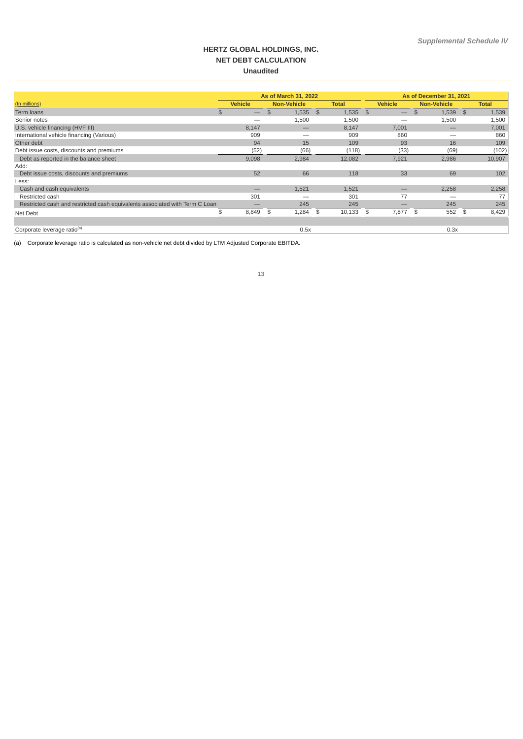# **HERTZ GLOBAL HOLDINGS, INC. NET DEBT CALCULATION Unaudited**

|                                                                             |     |                   | As of March 31, 2022 |     |              |    |                          | As of December 31, 2021 |    |              |
|-----------------------------------------------------------------------------|-----|-------------------|----------------------|-----|--------------|----|--------------------------|-------------------------|----|--------------|
| (In millions)                                                               |     | <b>Vehicle</b>    | <b>Non-Vehicle</b>   |     | <b>Total</b> |    | <b>Vehicle</b>           | <b>Non-Vehicle</b>      |    | <b>Total</b> |
| Term loans                                                                  | \$. | $\qquad \qquad -$ | 1,535<br>\$          |     | 1,535<br>\$  | \$ | $\overline{\phantom{m}}$ | 1,539<br>$\mathfrak{F}$ | \$ | 1,539        |
| Senior notes                                                                |     |                   | 1,500                |     | 1,500        |    |                          | 1,500                   |    | 1,500        |
| U.S. vehicle financing (HVF III)                                            |     | 8,147             |                      | $-$ | 8,147        |    | 7.001                    |                         |    | 7,001        |
| International vehicle financing (Various)                                   |     | 909               |                      | --  | 909          |    | 860                      |                         |    | 860          |
| Other debt                                                                  |     | 94                | 15                   |     | 109          |    | 93                       | 16                      |    | 109          |
| Debt issue costs, discounts and premiums                                    |     | (52)              | (66)                 |     | (118)        |    | (33)                     | (69)                    |    | (102)        |
| Debt as reported in the balance sheet                                       |     | 9,098             | 2,984                |     | 12,082       |    | 7,921                    | 2,986                   |    | 10,907       |
| Add:                                                                        |     |                   |                      |     |              |    |                          |                         |    |              |
| Debt issue costs, discounts and premiums                                    |     | 52                | 66                   |     | 118          |    | 33                       | 69                      |    | 102          |
| Less:                                                                       |     |                   |                      |     |              |    |                          |                         |    |              |
| Cash and cash equivalents                                                   |     |                   | 1,521                |     | 1,521        |    | —                        | 2,258                   |    | 2,258        |
| Restricted cash                                                             |     | 301               |                      |     | 301          |    | 77                       |                         |    | 77           |
| Restricted cash and restricted cash equivalents associated with Term C Loan |     |                   | 245                  |     | 245          |    |                          | 245                     |    | 245          |
| Net Debt                                                                    |     | 8,849             | 1,284<br>£.          |     | 10,133<br>-S | \$ | 7,877                    | 552                     | \$ | 8,429        |
|                                                                             |     |                   |                      |     |              |    |                          |                         |    |              |
| Corporate leverage ratio <sup>(a)</sup>                                     |     |                   | 0.5x                 |     |              |    |                          | 0.3x                    |    |              |

(a) Corporate leverage ratio is calculated as non-vehicle net debt divided by LTM Adjusted Corporate EBITDA.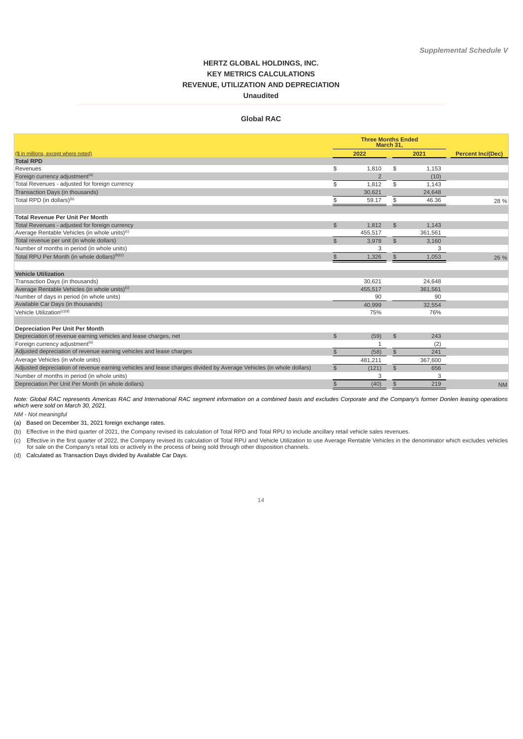# **HERTZ GLOBAL HOLDINGS, INC. KEY METRICS CALCULATIONS REVENUE, UTILIZATION AND DEPRECIATION Unaudited**

# **Global RAC**

|                                                                                                                    |                | <b>Three Months Ended</b><br>March 31, |                |         |                          |
|--------------------------------------------------------------------------------------------------------------------|----------------|----------------------------------------|----------------|---------|--------------------------|
| (\$ in millions, except where noted)                                                                               |                | 2022                                   |                | 2021    | <b>Percent Inc/(Dec)</b> |
| <b>Total RPD</b>                                                                                                   |                |                                        |                |         |                          |
| Revenues                                                                                                           | \$             | 1,810                                  | \$             | 1,153   |                          |
| Foreign currency adjustment <sup>(a)</sup>                                                                         |                | $\overline{2}$                         |                | (10)    |                          |
| Total Revenues - adjusted for foreign currency                                                                     | \$             | 1,812                                  | \$             | 1,143   |                          |
| Transaction Days (in thousands)                                                                                    |                | 30.621                                 |                | 24,648  |                          |
| Total RPD (in dollars) <sup>(b)</sup>                                                                              | \$             | 59.17                                  | \$             | 46.36   | 28 %                     |
| <b>Total Revenue Per Unit Per Month</b>                                                                            |                |                                        |                |         |                          |
| Total Revenues - adjusted for foreign currency                                                                     | $\mathfrak{S}$ | 1.812                                  | \$             | 1.143   |                          |
| Average Rentable Vehicles (in whole units) <sup>(c)</sup>                                                          |                | 455.517                                |                | 361,561 |                          |
| Total revenue per unit (in whole dollars)                                                                          | \$             | 3,978                                  | \$             | 3.160   |                          |
| Number of months in period (in whole units)                                                                        |                | 3                                      |                | 3       |                          |
| Total RPU Per Month (in whole dollars) <sup>(b)(c)</sup>                                                           | $\frac{2}{3}$  | 1,326                                  | $\frac{2}{3}$  | 1,053   | 26 %                     |
| <b>Vehicle Utilization</b>                                                                                         |                |                                        |                |         |                          |
| Transaction Days (in thousands)                                                                                    |                | 30.621                                 |                | 24,648  |                          |
| Average Rentable Vehicles (in whole units) <sup>(c)</sup>                                                          |                | 455.517                                |                | 361,561 |                          |
| Number of days in period (in whole units)                                                                          |                | 90                                     |                | 90      |                          |
| Available Car Days (in thousands)                                                                                  |                | 40,999                                 |                | 32,554  |                          |
| Vehicle Utilization <sup>(c)(d)</sup>                                                                              |                | 75%                                    |                | 76%     |                          |
| <b>Depreciation Per Unit Per Month</b>                                                                             |                |                                        |                |         |                          |
| Depreciation of revenue earning vehicles and lease charges, net                                                    | $\frac{1}{2}$  | (59)                                   | $\frac{1}{2}$  | 243     |                          |
| Foreign currency adjustment <sup>(a)</sup>                                                                         |                | $\mathbf{1}$                           |                | (2)     |                          |
| Adjusted depreciation of revenue earning vehicles and lease charges                                                | $$\mathbb{S}$$ | (58)                                   | $$\mathbb{S}$$ | 241     |                          |
| Average Vehicles (in whole units)                                                                                  |                | 481,211                                |                | 367,600 |                          |
| Adjusted depreciation of revenue earning vehicles and lease charges divided by Average Vehicles (in whole dollars) | \$             | (121)                                  | \$             | 656     |                          |
| Number of months in period (in whole units)                                                                        |                | 3                                      |                | 3       |                          |
| Depreciation Per Unit Per Month (in whole dollars)                                                                 | \$             | (40)                                   | $\frac{2}{3}$  | 219     | <b>NM</b>                |

Note: Global RAC represents Americas RAC and International RAC segment information on a combined basis and excludes Corporate and the Company's former Donlen leasing operations *which were sold on March 30, 2021.*

*NM - Not meaningful*

(a) Based on December 31, 2021 foreign exchange rates.

(b) Effective in the third quarter of 2021, the Company revised its calculation of Total RPD and Total RPU to include ancillary retail vehicle sales revenues.

(c) Effective in the first quarter of 2022, the Company revised its calculation of Total RPU and Vehicle Utilization to use Average Rentable Vehicles in the denominator which excludes vehicles<br>for sale on the Company's ret

(d) Calculated as Transaction Days divided by Available Car Days.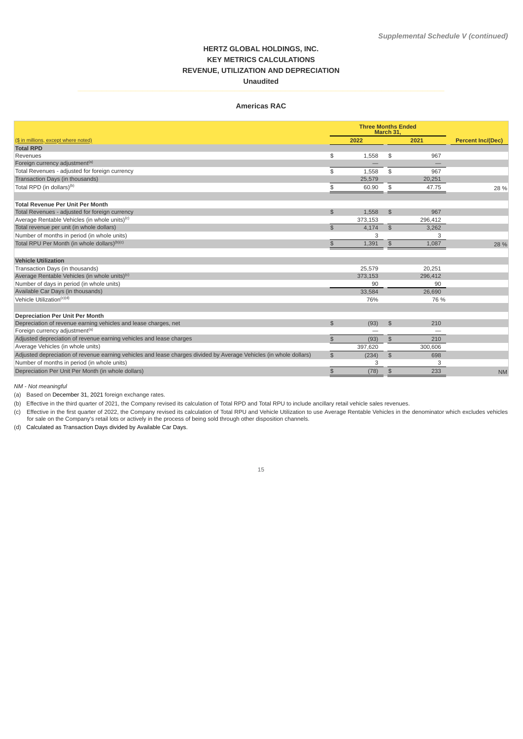# **HERTZ GLOBAL HOLDINGS, INC. KEY METRICS CALCULATIONS REVENUE, UTILIZATION AND DEPRECIATION Unaudited**

### **Americas RAC**

|                                                                                                                    |                | <b>Three Months Ended</b><br>March 31, |                |         |                          |
|--------------------------------------------------------------------------------------------------------------------|----------------|----------------------------------------|----------------|---------|--------------------------|
| (\$ in millions, except where noted)                                                                               |                | 2022                                   |                | 2021    | <b>Percent Inc/(Dec)</b> |
| <b>Total RPD</b>                                                                                                   |                |                                        |                |         |                          |
| Revenues                                                                                                           | \$             | 1,558                                  | \$             | 967     |                          |
| Foreign currency adjustment <sup>(a)</sup>                                                                         |                |                                        |                |         |                          |
| Total Revenues - adjusted for foreign currency                                                                     | \$             | 1.558                                  | $\mathfrak s$  | 967     |                          |
| Transaction Days (in thousands)                                                                                    |                | 25,579                                 |                | 20,251  |                          |
| Total RPD (in dollars) <sup>(b)</sup>                                                                              | \$             | 60.90                                  | \$             | 47.75   | 28 %                     |
|                                                                                                                    |                |                                        |                |         |                          |
| <b>Total Revenue Per Unit Per Month</b>                                                                            |                |                                        |                |         |                          |
| Total Revenues - adjusted for foreign currency                                                                     | $$\mathbb{S}$$ | 1.558                                  | $\mathfrak{S}$ | 967     |                          |
| Average Rentable Vehicles (in whole units) <sup>(c)</sup>                                                          |                | 373,153                                |                | 296.412 |                          |
| Total revenue per unit (in whole dollars)                                                                          | $\mathfrak{D}$ | 4.174                                  | \$             | 3.262   |                          |
| Number of months in period (in whole units)                                                                        |                | 3                                      |                | 3       |                          |
| Total RPU Per Month (in whole dollars) <sup>(b)(c)</sup>                                                           | $\mathfrak{P}$ | 1.391                                  | \$             | 1.087   | 28 %                     |
|                                                                                                                    |                |                                        |                |         |                          |
| <b>Vehicle Utilization</b>                                                                                         |                |                                        |                |         |                          |
| Transaction Days (in thousands)                                                                                    |                | 25,579                                 |                | 20,251  |                          |
| Average Rentable Vehicles (in whole units) <sup>(c)</sup>                                                          |                | 373.153                                |                | 296,412 |                          |
| Number of days in period (in whole units)                                                                          |                | 90                                     |                | 90      |                          |
| Available Car Days (in thousands)                                                                                  |                | 33.584                                 |                | 26.690  |                          |
| Vehicle Utilization <sup>(c)(d)</sup>                                                                              |                | 76%                                    |                | 76 %    |                          |
|                                                                                                                    |                |                                        |                |         |                          |
| <b>Depreciation Per Unit Per Month</b>                                                                             |                |                                        |                |         |                          |
| Depreciation of revenue earning vehicles and lease charges, net                                                    | $\mathfrak{D}$ | (93)                                   | \$             | 210     |                          |
| Foreign currency adjustment <sup>(a)</sup>                                                                         |                | —                                      |                |         |                          |
| Adjusted depreciation of revenue earning vehicles and lease charges                                                | \$             | (93)                                   | \$             | 210     |                          |
| Average Vehicles (in whole units)                                                                                  |                | 397,620                                |                | 300.606 |                          |
| Adjusted depreciation of revenue earning vehicles and lease charges divided by Average Vehicles (in whole dollars) | \$             | (234)                                  | \$             | 698     |                          |
| Number of months in period (in whole units)                                                                        |                | 3                                      |                | 3       |                          |
| Depreciation Per Unit Per Month (in whole dollars)                                                                 | \$             | (78)                                   | $\frac{4}{5}$  | 233     | <b>NM</b>                |

*NM - Not meaningful*

(a) Based on December 31, 2021 foreign exchange rates.

(b) Effective in the third quarter of 2021, the Company revised its calculation of Total RPD and Total RPU to include ancillary retail vehicle sales revenues.

(c) Effective in the first quarter of 2022, the Company revised its calculation of Total RPU and Vehicle Utilization to use Average Rentable Vehicles in the denominator which excludes vehicles<br>for sale on the Company's ret

(d) Calculated as Transaction Days divided by Available Car Days.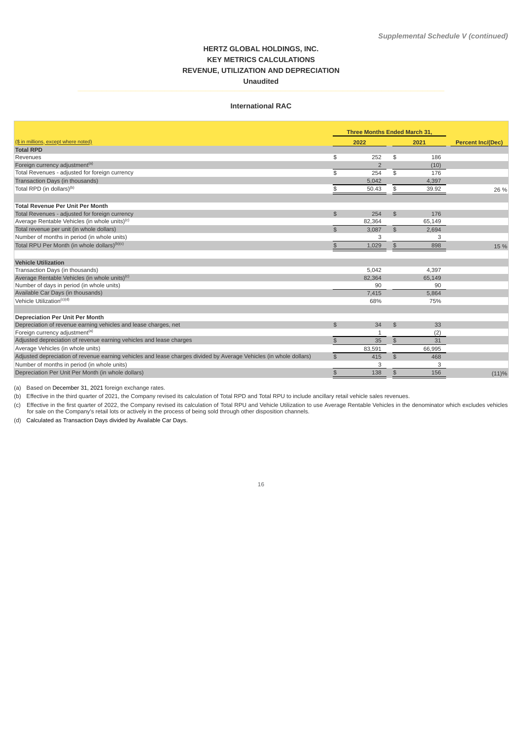# **HERTZ GLOBAL HOLDINGS, INC. KEY METRICS CALCULATIONS REVENUE, UTILIZATION AND DEPRECIATION Unaudited**

### **International RAC**

|                                                                                                                    | Three Months Ended March 31, |                |                |        |                          |
|--------------------------------------------------------------------------------------------------------------------|------------------------------|----------------|----------------|--------|--------------------------|
| (\$ in millions, except where noted)                                                                               |                              | 2022           |                | 2021   | <b>Percent Inc/(Dec)</b> |
| <b>Total RPD</b>                                                                                                   |                              |                |                |        |                          |
| Revenues                                                                                                           | \$                           | 252            | \$             | 186    |                          |
| Foreign currency adjustment <sup>(a)</sup>                                                                         |                              | $\overline{2}$ |                | (10)   |                          |
| Total Revenues - adjusted for foreign currency                                                                     | \$                           | 254            | \$             | 176    |                          |
| Transaction Days (in thousands)                                                                                    |                              | 5,042          |                | 4,397  |                          |
| Total RPD (in dollars) <sup>(b)</sup>                                                                              | \$                           | 50.43          | $\frac{2}{3}$  | 39.92  | 26 %                     |
| <b>Total Revenue Per Unit Per Month</b>                                                                            |                              |                |                |        |                          |
| Total Revenues - adjusted for foreign currency                                                                     | \$                           | 254            | \$             | 176    |                          |
| Average Rentable Vehicles (in whole units) <sup>(c)</sup>                                                          |                              | 82,364         |                | 65,149 |                          |
| Total revenue per unit (in whole dollars)                                                                          | \$                           | 3,087          | \$             | 2,694  |                          |
| Number of months in period (in whole units)                                                                        |                              | 3              |                | 3      |                          |
| Total RPU Per Month (in whole dollars) <sup>(b)(c)</sup>                                                           | \$                           | 1,029          | \$             | 898    | 15 %                     |
|                                                                                                                    |                              |                |                |        |                          |
| <b>Vehicle Utilization</b>                                                                                         |                              |                |                |        |                          |
| Transaction Days (in thousands)                                                                                    |                              | 5.042          |                | 4,397  |                          |
| Average Rentable Vehicles (in whole units) <sup>(c)</sup>                                                          |                              | 82.364         |                | 65.149 |                          |
| Number of days in period (in whole units)                                                                          |                              | 90             |                | 90     |                          |
| Available Car Days (in thousands)                                                                                  |                              | 7.415          |                | 5,864  |                          |
| Vehicle Utilization <sup>(c)(d)</sup>                                                                              |                              | 68%            |                | 75%    |                          |
| <b>Depreciation Per Unit Per Month</b>                                                                             |                              |                |                |        |                          |
| Depreciation of revenue earning vehicles and lease charges, net                                                    | $$\mathbb{S}$$               | 34             | \$             | 33     |                          |
| Foreign currency adjustment <sup>(a)</sup>                                                                         |                              | $\mathbf{1}$   |                | (2)    |                          |
| Adjusted depreciation of revenue earning vehicles and lease charges                                                | $\frac{2}{3}$                | 35             | $$\mathbb{S}$$ | 31     |                          |
| Average Vehicles (in whole units)                                                                                  |                              | 83,591         |                | 66,995 |                          |
| Adjusted depreciation of revenue earning vehicles and lease charges divided by Average Vehicles (in whole dollars) | \$                           | 415            | \$             | 468    |                          |
| Number of months in period (in whole units)                                                                        |                              | 3              |                | 3      |                          |
| Depreciation Per Unit Per Month (in whole dollars)                                                                 | $\frac{2}{3}$                | 138            | \$             | 156    | (11)%                    |

(a) Based on December 31, 2021 foreign exchange rates.

(b) Effective in the third quarter of 2021, the Company revised its calculation of Total RPD and Total RPU to include ancillary retail vehicle sales revenues.

(c) Effective in the first quarter of 2022, the Company revised its calculation of Total RPU and Vehicle Utilization to use Average Rentable Vehicles in the denominator which excludes vehicles<br>for sale on the Company's ret

(d) Calculated as Transaction Days divided by Available Car Days.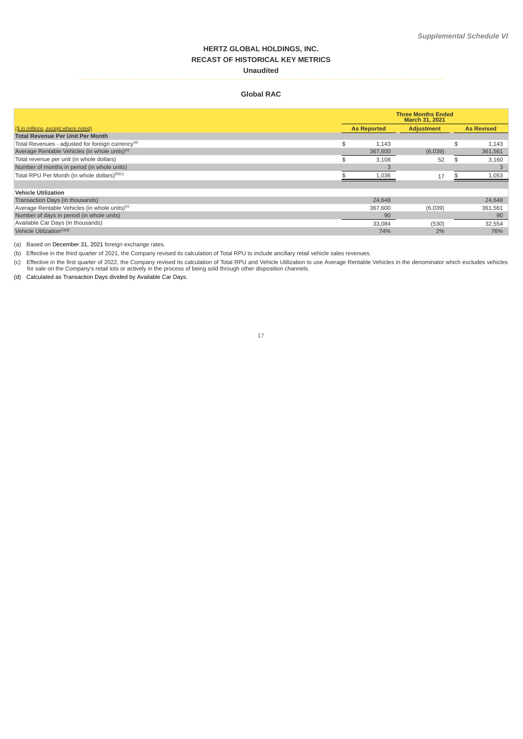# **HERTZ GLOBAL HOLDINGS, INC. RECAST OF HISTORICAL KEY METRICS Unaudited**

# **Global RAC**

|                                                               | <b>Three Months Ended</b><br><b>March 31, 2021</b> |         |                   |  |                   |  |
|---------------------------------------------------------------|----------------------------------------------------|---------|-------------------|--|-------------------|--|
| (\$ in millions, except where noted)                          | <b>As Reported</b>                                 |         | <b>Adjustment</b> |  | <b>As Revised</b> |  |
| <b>Total Revenue Per Unit Per Month</b>                       |                                                    |         |                   |  |                   |  |
| Total Revenues - adjusted for foreign currency <sup>(a)</sup> | \$.                                                | 1,143   |                   |  | 1,143             |  |
| Average Rentable Vehicles (in whole units) <sup>(c)</sup>     |                                                    | 367,600 | (6,039)           |  | 361,561           |  |
| Total revenue per unit (in whole dollars)                     |                                                    | 3,108   | 52                |  | 3,160             |  |
| Number of months in period (in whole units)                   |                                                    |         |                   |  |                   |  |
| Total RPU Per Month (in whole dollars) <sup>(b)(c)</sup>      |                                                    | 1,036   | 17                |  | 1,053             |  |
|                                                               |                                                    |         |                   |  |                   |  |
| <b>Vehicle Utilization</b>                                    |                                                    |         |                   |  |                   |  |
| Transaction Days (in thousands)                               |                                                    | 24.648  |                   |  | 24,648            |  |
| Average Rentable Vehicles (in whole units) <sup>(c)</sup>     |                                                    | 367,600 | (6,039)           |  | 361,561           |  |
| Number of days in period (in whole units)                     |                                                    | 90      |                   |  | 90                |  |
| Available Car Days (in thousands)                             |                                                    | 33,084  | (530)             |  | 32,554            |  |
| Vehicle Utilization <sup>(c)(d)</sup>                         |                                                    | 74%     | 2%                |  | 76%               |  |

(a) Based on December 31, 2021 foreign exchange rates.

(b) Effective in the third quarter of 2021, the Company revised its calculation of Total RPU to include ancillary retail vehicle sales revenues.

(c) Effective in the first quarter of 2022, the Company revised its calculation of Total RPU and Vehicle Utilization to use Average Rentable Vehicles in the denominator which excludes vehicles<br>for sale on the Company's ret

(d) Calculated as Transaction Days divided by Available Car Days.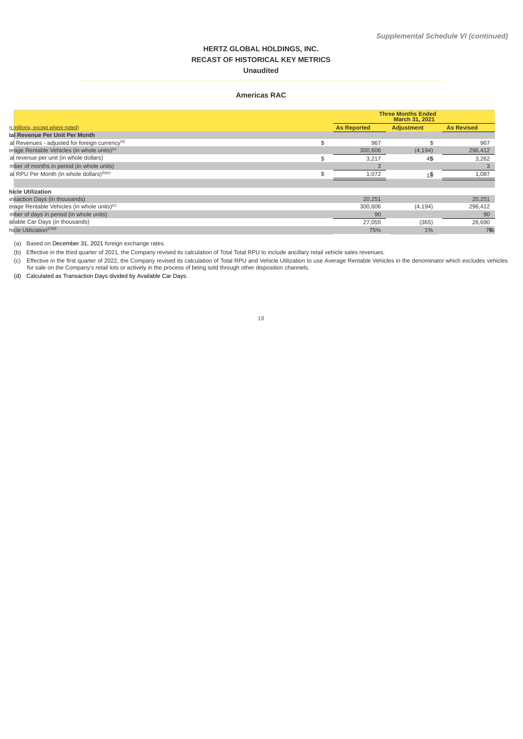# **HERTZ GLOBAL HOLDINGS, INC. RECAST OF HISTORICAL KEY METRICS Unaudited**

### **Americas RAC**

|                                                            | <b>Three Months Ended</b><br>March 31, 2021 |                   |                   |  |  |
|------------------------------------------------------------|---------------------------------------------|-------------------|-------------------|--|--|
| n millions, except where noted)                            | <b>As Reported</b>                          | <b>Adjustment</b> | <b>As Revised</b> |  |  |
| tal Revenue Per Unit Per Month                             |                                             |                   |                   |  |  |
| al Revenues - adjusted for foreign currency <sup>(a)</sup> | 967                                         | \$                | 967               |  |  |
| erage Rentable Vehicles (in whole units) <sup>(c)</sup>    | 300,606                                     | (4, 194)          | 296,412           |  |  |
| al revenue per unit (in whole dollars)                     | 3,217                                       | 45                | 3,262             |  |  |
| mber of months in period (in whole units)                  |                                             |                   |                   |  |  |
| al RPU Per Month (in whole dollars) <sup>(b)(c)</sup>      | 1,072                                       | 1\$               | 1,087             |  |  |
| hicle Utilization                                          |                                             |                   |                   |  |  |
| unsaction Days (in thousands)                              | 20.251                                      |                   | 20,251            |  |  |
| erage Rentable Vehicles (in whole units) <sup>(c)</sup>    | 300,606                                     | (4, 194)          | 296,412           |  |  |
| mber of days in period (in whole units)                    | 90                                          |                   | 90                |  |  |
| ailable Car Days (in thousands)                            | 27,055                                      | (365)             | 26,690            |  |  |
| hicle Utilization <sup>(c)(d)</sup>                        | 75%                                         | 1%                | 76%               |  |  |

(a) Based on December 31, 2021 foreign exchange rates.

(b) Effective in the third quarter of 2021, the Company revised its calculation of Total Total RPU to include ancillary retail vehicle sales revenues.

(c) Effective in the first quarter of 2022, the Company revised its calculation of Total RPU and Vehicle Utilization to use Average Rentable Vehicles in the denominator which excludes vehicles<br>for sale on the Company's ret

(d) Calculated as Transaction Days divided by Available Car Days.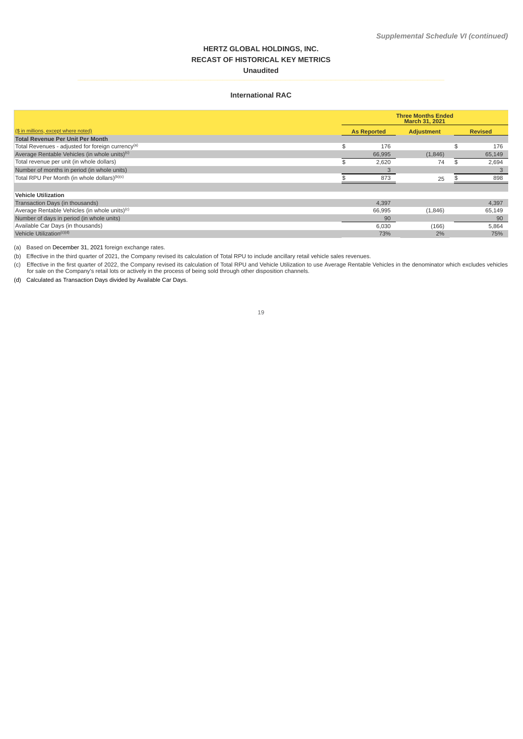# **HERTZ GLOBAL HOLDINGS, INC. RECAST OF HISTORICAL KEY METRICS Unaudited**

### **International RAC**

|                                                               | <b>Three Months Ended</b><br><b>March 31, 2021</b> |        |                   |  |                |  |
|---------------------------------------------------------------|----------------------------------------------------|--------|-------------------|--|----------------|--|
| (\$ in millions, except where noted)                          | <b>As Reported</b>                                 |        | <b>Adjustment</b> |  | <b>Revised</b> |  |
| <b>Total Revenue Per Unit Per Month</b>                       |                                                    |        |                   |  |                |  |
| Total Revenues - adjusted for foreign currency <sup>(a)</sup> | \$.                                                | 176    |                   |  | 176            |  |
| Average Rentable Vehicles (in whole units) <sup>(c)</sup>     |                                                    | 66,995 | (1,846)           |  | 65,149         |  |
| Total revenue per unit (in whole dollars)                     |                                                    | 2,620  | 74                |  | 2,694          |  |
| Number of months in period (in whole units)                   |                                                    |        |                   |  |                |  |
| Total RPU Per Month (in whole dollars) <sup>(b)(c)</sup>      |                                                    | 873    | 25                |  | 898            |  |
|                                                               |                                                    |        |                   |  |                |  |
| <b>Vehicle Utilization</b>                                    |                                                    |        |                   |  |                |  |
| Transaction Days (in thousands)                               |                                                    | 4,397  |                   |  | 4,397          |  |
| Average Rentable Vehicles (in whole units) <sup>(c)</sup>     |                                                    | 66,995 | (1,846)           |  | 65,149         |  |
| Number of days in period (in whole units)                     |                                                    | 90     |                   |  | 90             |  |
| Available Car Days (in thousands)                             |                                                    | 6,030  | (166)             |  | 5,864          |  |
| Vehicle Utilization <sup>(c)(d)</sup>                         |                                                    | 73%    | 2%                |  | 75%            |  |

(a) Based on December 31, 2021 foreign exchange rates.

(b) Effective in the third quarter of 2021, the Company revised its calculation of Total RPU to include ancillary retail vehicle sales revenues.

(c) Effective in the first quarter of 2022, the Company revised its calculation of Total RPU and Vehicle Utilization to use Average Rentable Vehicles in the denominator which excludes vehicles<br>for sale on the Company's ret

(d) Calculated as Transaction Days divided by Available Car Days.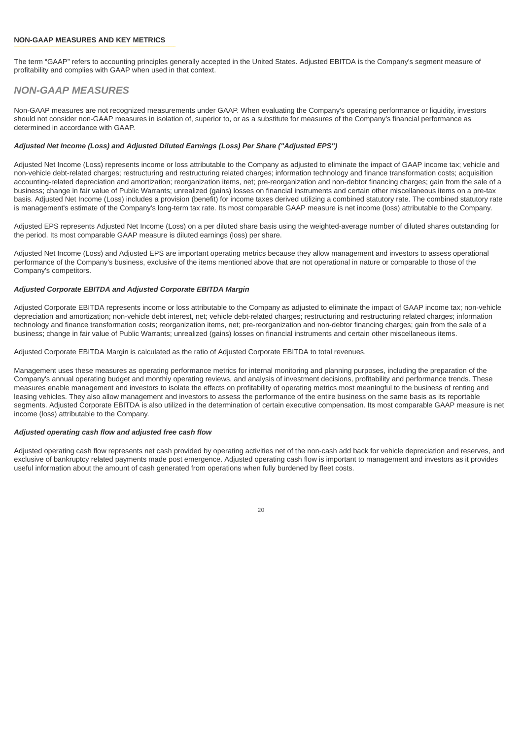### **NON-GAAP MEASURES AND KEY METRICS**

The term "GAAP" refers to accounting principles generally accepted in the United States. Adjusted EBITDA is the Company's segment measure of profitability and complies with GAAP when used in that context.

# *NON-GAAP MEASURES*

Non-GAAP measures are not recognized measurements under GAAP. When evaluating the Company's operating performance or liquidity, investors should not consider non-GAAP measures in isolation of, superior to, or as a substitute for measures of the Company's financial performance as determined in accordance with GAAP.

### *Adjusted Net Income (Loss) and Adjusted Diluted Earnings (Loss) Per Share ("Adjusted EPS")*

Adjusted Net Income (Loss) represents income or loss attributable to the Company as adjusted to eliminate the impact of GAAP income tax; vehicle and non-vehicle debt-related charges; restructuring and restructuring related charges; information technology and finance transformation costs; acquisition accounting-related depreciation and amortization; reorganization items, net; pre-reorganization and non-debtor financing charges; gain from the sale of a business; change in fair value of Public Warrants; unrealized (gains) losses on financial instruments and certain other miscellaneous items on a pre-tax basis. Adjusted Net Income (Loss) includes a provision (benefit) for income taxes derived utilizing a combined statutory rate. The combined statutory rate is management's estimate of the Company's long-term tax rate. Its most comparable GAAP measure is net income (loss) attributable to the Company.

Adjusted EPS represents Adjusted Net Income (Loss) on a per diluted share basis using the weighted-average number of diluted shares outstanding for the period. Its most comparable GAAP measure is diluted earnings (loss) per share.

Adjusted Net Income (Loss) and Adjusted EPS are important operating metrics because they allow management and investors to assess operational performance of the Company's business, exclusive of the items mentioned above that are not operational in nature or comparable to those of the Company's competitors.

## *Adjusted Corporate EBITDA and Adjusted Corporate EBITDA Margin*

Adjusted Corporate EBITDA represents income or loss attributable to the Company as adjusted to eliminate the impact of GAAP income tax; non-vehicle depreciation and amortization; non-vehicle debt interest, net; vehicle debt-related charges; restructuring and restructuring related charges; information technology and finance transformation costs; reorganization items, net; pre-reorganization and non-debtor financing charges; gain from the sale of a business; change in fair value of Public Warrants; unrealized (gains) losses on financial instruments and certain other miscellaneous items.

Adjusted Corporate EBITDA Margin is calculated as the ratio of Adjusted Corporate EBITDA to total revenues.

Management uses these measures as operating performance metrics for internal monitoring and planning purposes, including the preparation of the Company's annual operating budget and monthly operating reviews, and analysis of investment decisions, profitability and performance trends. These measures enable management and investors to isolate the effects on profitability of operating metrics most meaningful to the business of renting and leasing vehicles. They also allow management and investors to assess the performance of the entire business on the same basis as its reportable segments. Adjusted Corporate EBITDA is also utilized in the determination of certain executive compensation. Its most comparable GAAP measure is net income (loss) attributable to the Company.

### *Adjusted operating cash flow and adjusted free cash flow*

Adjusted operating cash flow represents net cash provided by operating activities net of the non-cash add back for vehicle depreciation and reserves, and exclusive of bankruptcy related payments made post emergence. Adjusted operating cash flow is important to management and investors as it provides useful information about the amount of cash generated from operations when fully burdened by fleet costs.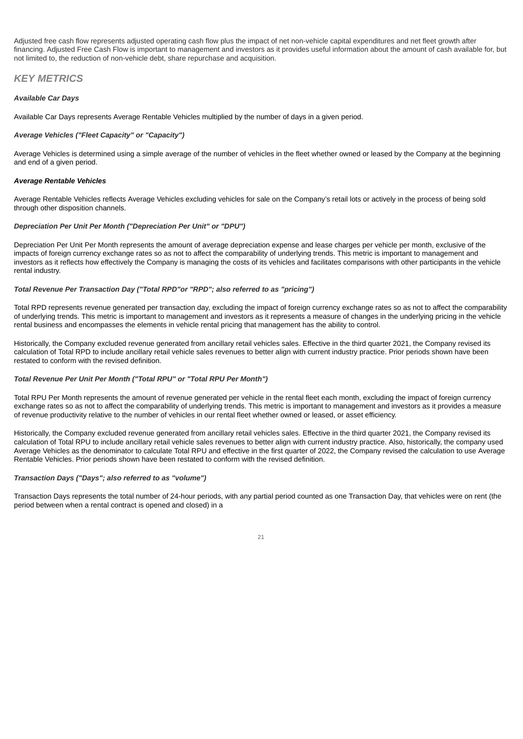Adjusted free cash flow represents adjusted operating cash flow plus the impact of net non-vehicle capital expenditures and net fleet growth after financing. Adjusted Free Cash Flow is important to management and investors as it provides useful information about the amount of cash available for, but not limited to, the reduction of non-vehicle debt, share repurchase and acquisition.

# *KEY METRICS*

#### *Available Car Days*

Available Car Days represents Average Rentable Vehicles multiplied by the number of days in a given period.

#### *Average Vehicles ("Fleet Capacity" or "Capacity")*

Average Vehicles is determined using a simple average of the number of vehicles in the fleet whether owned or leased by the Company at the beginning and end of a given period.

#### *Average Rentable Vehicles*

Average Rentable Vehicles reflects Average Vehicles excluding vehicles for sale on the Company's retail lots or actively in the process of being sold through other disposition channels.

### *Depreciation Per Unit Per Month ("Depreciation Per Unit" or "DPU")*

Depreciation Per Unit Per Month represents the amount of average depreciation expense and lease charges per vehicle per month, exclusive of the impacts of foreign currency exchange rates so as not to affect the comparability of underlying trends. This metric is important to management and investors as it reflects how effectively the Company is managing the costs of its vehicles and facilitates comparisons with other participants in the vehicle rental industry.

### *Total Revenue Per Transaction Day ("Total RPD"or "RPD"; also referred to as "pricing")*

Total RPD represents revenue generated per transaction day, excluding the impact of foreign currency exchange rates so as not to affect the comparability of underlying trends. This metric is important to management and investors as it represents a measure of changes in the underlying pricing in the vehicle rental business and encompasses the elements in vehicle rental pricing that management has the ability to control.

Historically, the Company excluded revenue generated from ancillary retail vehicles sales. Effective in the third quarter 2021, the Company revised its calculation of Total RPD to include ancillary retail vehicle sales revenues to better align with current industry practice. Prior periods shown have been restated to conform with the revised definition.

### *Total Revenue Per Unit Per Month ("Total RPU" or "Total RPU Per Month")*

Total RPU Per Month represents the amount of revenue generated per vehicle in the rental fleet each month, excluding the impact of foreign currency exchange rates so as not to affect the comparability of underlying trends. This metric is important to management and investors as it provides a measure of revenue productivity relative to the number of vehicles in our rental fleet whether owned or leased, or asset efficiency.

Historically, the Company excluded revenue generated from ancillary retail vehicles sales. Effective in the third quarter 2021, the Company revised its calculation of Total RPU to include ancillary retail vehicle sales revenues to better align with current industry practice. Also, historically, the company used Average Vehicles as the denominator to calculate Total RPU and effective in the first quarter of 2022, the Company revised the calculation to use Average Rentable Vehicles. Prior periods shown have been restated to conform with the revised definition.

#### *Transaction Days ("Days"; also referred to as "volume")*

Transaction Days represents the total number of 24-hour periods, with any partial period counted as one Transaction Day, that vehicles were on rent (the period between when a rental contract is opened and closed) in a